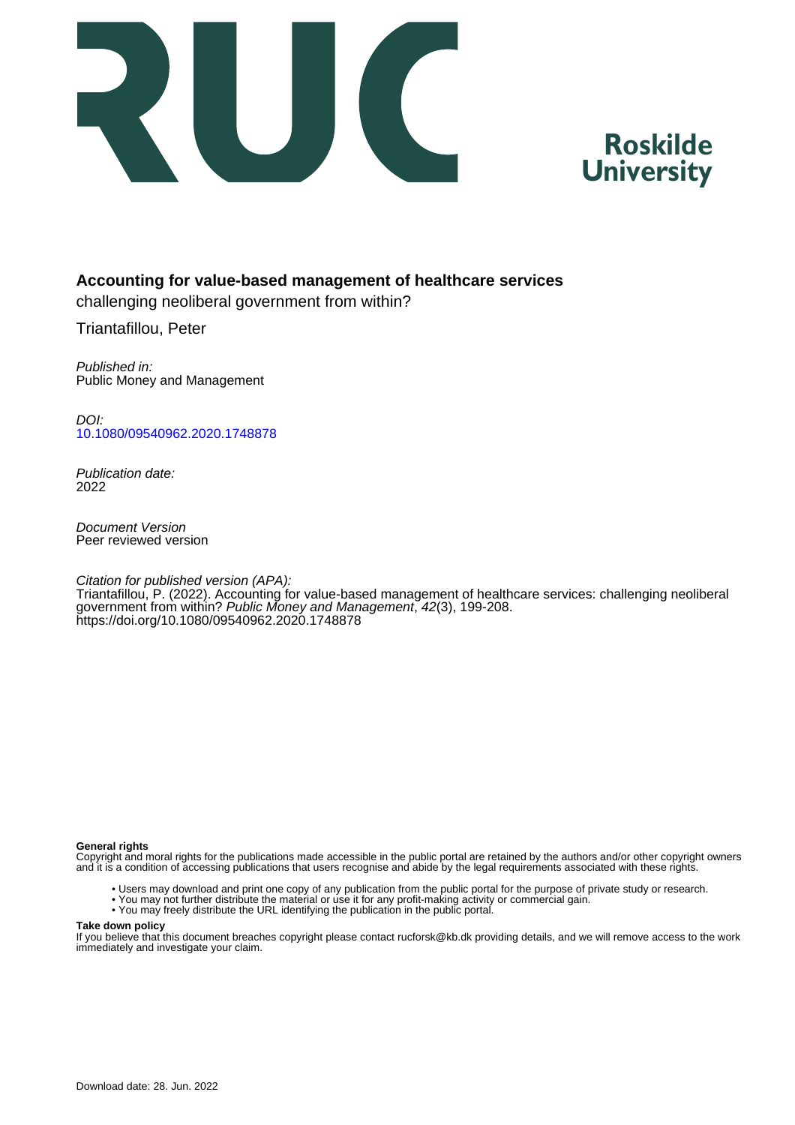



### **Accounting for value-based management of healthcare services**

challenging neoliberal government from within?

Triantafillou, Peter

Published in: Public Money and Management

DOI: [10.1080/09540962.2020.1748878](https://doi.org/10.1080/09540962.2020.1748878)

Publication date: 2022

Document Version Peer reviewed version

Citation for published version (APA):

Triantafillou, P. (2022). Accounting for value-based management of healthcare services: challenging neoliberal government from within? Public Money and Management, 42(3), 199-208. <https://doi.org/10.1080/09540962.2020.1748878>

#### **General rights**

Copyright and moral rights for the publications made accessible in the public portal are retained by the authors and/or other copyright owners and it is a condition of accessing publications that users recognise and abide by the legal requirements associated with these rights.

- Users may download and print one copy of any publication from the public portal for the purpose of private study or research.
- You may not further distribute the material or use it for any profit-making activity or commercial gain.
- You may freely distribute the URL identifying the publication in the public portal.

#### **Take down policy**

If you believe that this document breaches copyright please contact rucforsk@kb.dk providing details, and we will remove access to the work immediately and investigate your claim.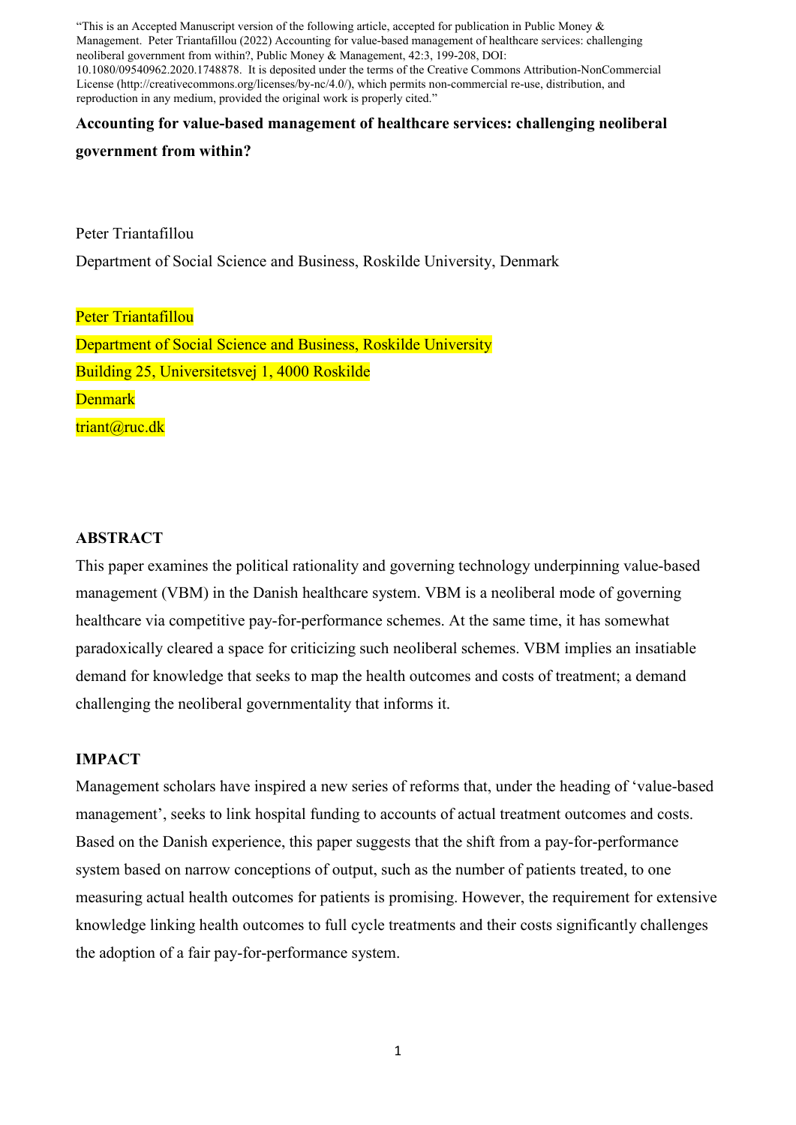"This is an Accepted Manuscript version of the following article, accepted for publication in Public Money & Management. Peter Triantafillou (2022) Accounting for value-based management of healthcare services: challenging neoliberal government from within?, Public Money & Management, 42:3, 199-208, DOI: 10.1080/09540962.2020.1748878. It is deposited under the terms of the Creative Commons Attribution-NonCommercial License (http://creativecommons.org/licenses/by-nc/4.0/), which permits non-commercial re-use, distribution, and reproduction in any medium, provided the original work is properly cited."

## **Accounting for value-based management of healthcare services: challenging neoliberal government from within?**

Peter Triantafillou

Department of Social Science and Business, Roskilde University, Denmark

Peter Triantafillou Department of Social Science and Business, Roskilde University Building 25, Universitetsvej 1, 4000 Roskilde **Denmark** triant@ruc.dk

### **ABSTRACT**

This paper examines the political rationality and governing technology underpinning value-based management (VBM) in the Danish healthcare system. VBM is a neoliberal mode of governing healthcare via competitive pay-for-performance schemes. At the same time, it has somewhat paradoxically cleared a space for criticizing such neoliberal schemes. VBM implies an insatiable demand for knowledge that seeks to map the health outcomes and costs of treatment; a demand challenging the neoliberal governmentality that informs it.

#### **IMPACT**

Management scholars have inspired a new series of reforms that, under the heading of 'value-based management', seeks to link hospital funding to accounts of actual treatment outcomes and costs. Based on the Danish experience, this paper suggests that the shift from a pay-for-performance system based on narrow conceptions of output, such as the number of patients treated, to one measuring actual health outcomes for patients is promising. However, the requirement for extensive knowledge linking health outcomes to full cycle treatments and their costs significantly challenges the adoption of a fair pay-for-performance system.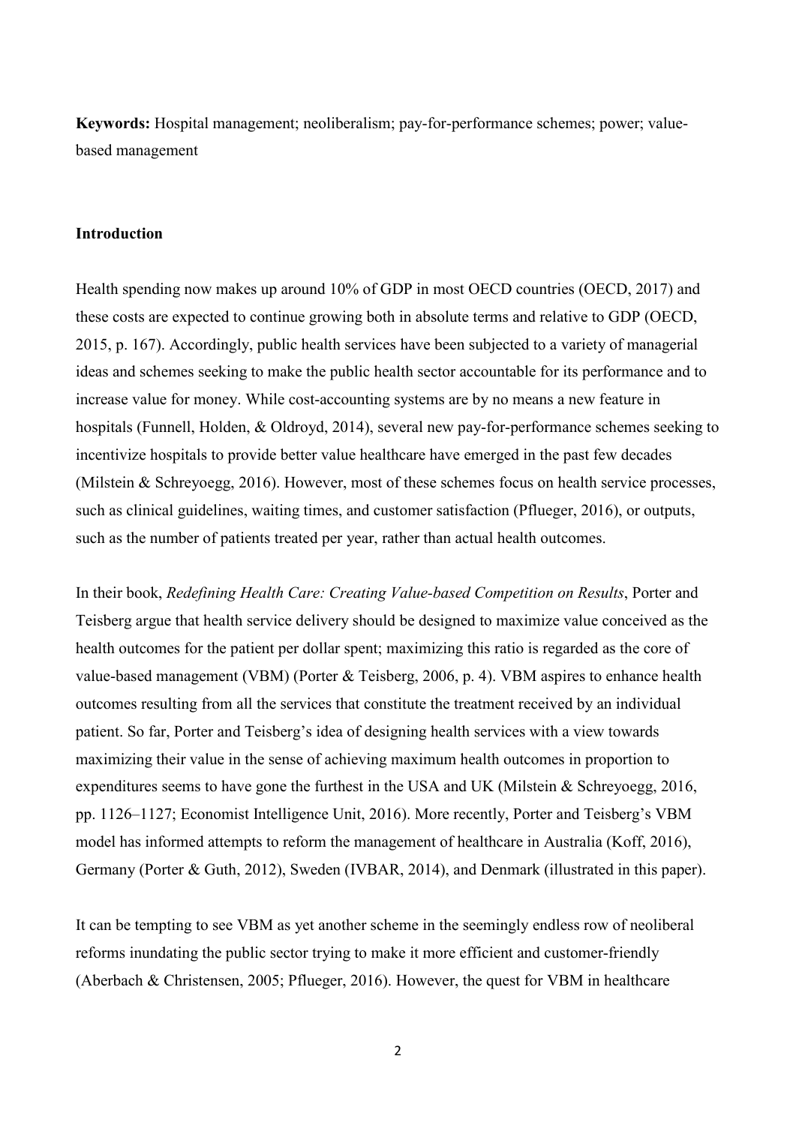**Keywords:** Hospital management; neoliberalism; pay-for-performance schemes; power; valuebased management

#### **Introduction**

Health spending now makes up around 10% of GDP in most OECD countries (OECD, 2017) and these costs are expected to continue growing both in absolute terms and relative to GDP (OECD, 2015, p. 167). Accordingly, public health services have been subjected to a variety of managerial ideas and schemes seeking to make the public health sector accountable for its performance and to increase value for money. While cost-accounting systems are by no means a new feature in hospitals (Funnell, Holden, & Oldroyd, 2014), several new pay-for-performance schemes seeking to incentivize hospitals to provide better value healthcare have emerged in the past few decades (Milstein & Schreyoegg, 2016). However, most of these schemes focus on health service processes, such as clinical guidelines, waiting times, and customer satisfaction (Pflueger, 2016), or outputs, such as the number of patients treated per year, rather than actual health outcomes.

In their book, *Redefining Health Care: Creating Value-based Competition on Results*, Porter and Teisberg argue that health service delivery should be designed to maximize value conceived as the health outcomes for the patient per dollar spent; maximizing this ratio is regarded as the core of value-based management (VBM) (Porter & Teisberg, 2006, p. 4). VBM aspires to enhance health outcomes resulting from all the services that constitute the treatment received by an individual patient. So far, Porter and Teisberg's idea of designing health services with a view towards maximizing their value in the sense of achieving maximum health outcomes in proportion to expenditures seems to have gone the furthest in the USA and UK (Milstein & Schreyoegg, 2016, pp. 1126–1127; Economist Intelligence Unit, 2016). More recently, Porter and Teisberg's VBM model has informed attempts to reform the management of healthcare in Australia (Koff, 2016), Germany (Porter & Guth, 2012), Sweden (IVBAR, 2014), and Denmark (illustrated in this paper).

It can be tempting to see VBM as yet another scheme in the seemingly endless row of neoliberal reforms inundating the public sector trying to make it more efficient and customer-friendly (Aberbach & Christensen, 2005; Pflueger, 2016). However, the quest for VBM in healthcare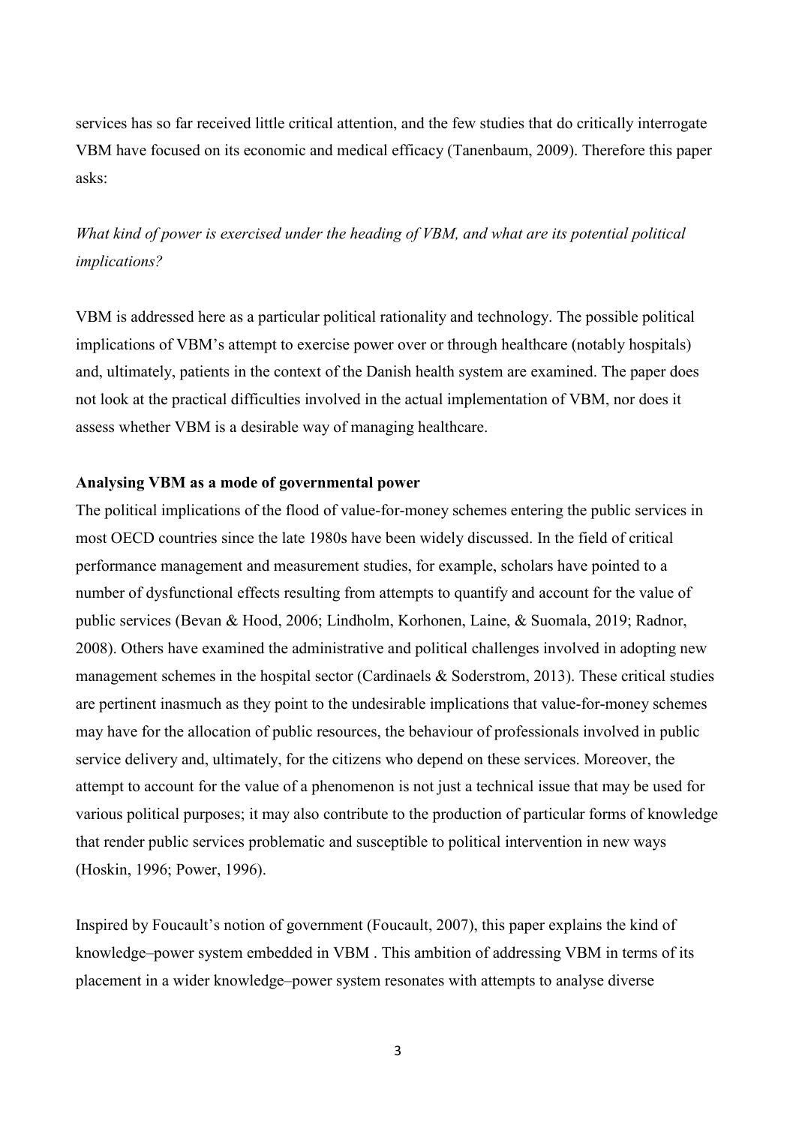services has so far received little critical attention, and the few studies that do critically interrogate VBM have focused on its economic and medical efficacy (Tanenbaum, 2009). Therefore this paper asks:

## *What kind of power is exercised under the heading of VBM, and what are its potential political implications?*

VBM is addressed here as a particular political rationality and technology. The possible political implications of VBM's attempt to exercise power over or through healthcare (notably hospitals) and, ultimately, patients in the context of the Danish health system are examined. The paper does not look at the practical difficulties involved in the actual implementation of VBM, nor does it assess whether VBM is a desirable way of managing healthcare.

#### **Analysing VBM as a mode of governmental power**

The political implications of the flood of value-for-money schemes entering the public services in most OECD countries since the late 1980s have been widely discussed. In the field of critical performance management and measurement studies, for example, scholars have pointed to a number of dysfunctional effects resulting from attempts to quantify and account for the value of public services (Bevan & Hood, 2006; Lindholm, Korhonen, Laine, & Suomala, 2019; Radnor, 2008). Others have examined the administrative and political challenges involved in adopting new management schemes in the hospital sector (Cardinaels & Soderstrom, 2013). These critical studies are pertinent inasmuch as they point to the undesirable implications that value-for-money schemes may have for the allocation of public resources, the behaviour of professionals involved in public service delivery and, ultimately, for the citizens who depend on these services. Moreover, the attempt to account for the value of a phenomenon is not just a technical issue that may be used for various political purposes; it may also contribute to the production of particular forms of knowledge that render public services problematic and susceptible to political intervention in new ways (Hoskin, 1996; Power, 1996).

Inspired by Foucault's notion of government (Foucault, 2007), this paper explains the kind of knowledge–power system embedded in VBM . This ambition of addressing VBM in terms of its placement in a wider knowledge–power system resonates with attempts to analyse diverse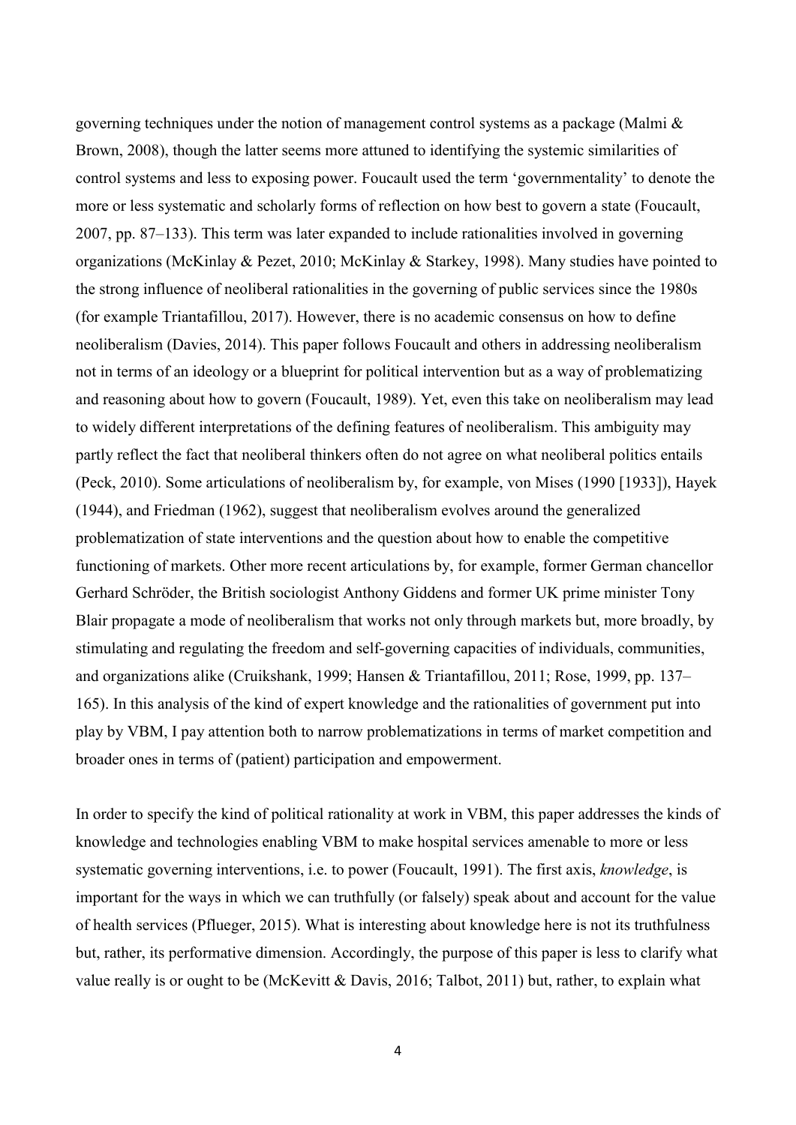governing techniques under the notion of management control systems as a package (Malmi & Brown, 2008), though the latter seems more attuned to identifying the systemic similarities of control systems and less to exposing power. Foucault used the term 'governmentality' to denote the more or less systematic and scholarly forms of reflection on how best to govern a state (Foucault, 2007, pp. 87–133). This term was later expanded to include rationalities involved in governing organizations (McKinlay & Pezet, 2010; McKinlay & Starkey, 1998). Many studies have pointed to the strong influence of neoliberal rationalities in the governing of public services since the 1980s (for example Triantafillou, 2017). However, there is no academic consensus on how to define neoliberalism (Davies, 2014). This paper follows Foucault and others in addressing neoliberalism not in terms of an ideology or a blueprint for political intervention but as a way of problematizing and reasoning about how to govern (Foucault, 1989). Yet, even this take on neoliberalism may lead to widely different interpretations of the defining features of neoliberalism. This ambiguity may partly reflect the fact that neoliberal thinkers often do not agree on what neoliberal politics entails (Peck, 2010). Some articulations of neoliberalism by, for example, von Mises (1990 [1933]), Hayek (1944), and Friedman (1962), suggest that neoliberalism evolves around the generalized problematization of state interventions and the question about how to enable the competitive functioning of markets. Other more recent articulations by, for example, former German chancellor Gerhard Schröder, the British sociologist Anthony Giddens and former UK prime minister Tony Blair propagate a mode of neoliberalism that works not only through markets but, more broadly, by stimulating and regulating the freedom and self-governing capacities of individuals, communities, and organizations alike (Cruikshank, 1999; Hansen & Triantafillou, 2011; Rose, 1999, pp. 137– 165). In this analysis of the kind of expert knowledge and the rationalities of government put into play by VBM, I pay attention both to narrow problematizations in terms of market competition and broader ones in terms of (patient) participation and empowerment.

In order to specify the kind of political rationality at work in VBM, this paper addresses the kinds of knowledge and technologies enabling VBM to make hospital services amenable to more or less systematic governing interventions, i.e. to power (Foucault, 1991). The first axis, *knowledge*, is important for the ways in which we can truthfully (or falsely) speak about and account for the value of health services (Pflueger, 2015). What is interesting about knowledge here is not its truthfulness but, rather, its performative dimension. Accordingly, the purpose of this paper is less to clarify what value really is or ought to be (McKevitt & Davis, 2016; Talbot, 2011) but, rather, to explain what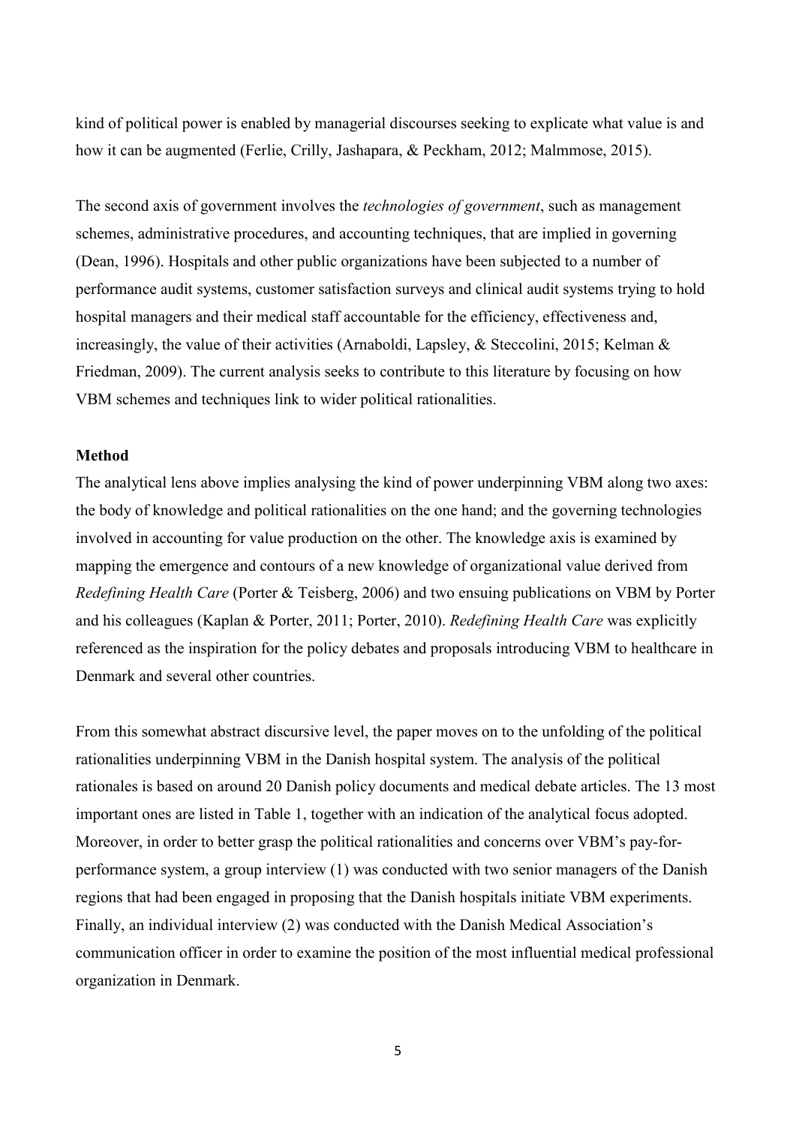kind of political power is enabled by managerial discourses seeking to explicate what value is and how it can be augmented (Ferlie, Crilly, Jashapara, & Peckham, 2012; Malmmose, 2015).

The second axis of government involves the *technologies of government*, such as management schemes, administrative procedures, and accounting techniques, that are implied in governing (Dean, 1996). Hospitals and other public organizations have been subjected to a number of performance audit systems, customer satisfaction surveys and clinical audit systems trying to hold hospital managers and their medical staff accountable for the efficiency, effectiveness and, increasingly, the value of their activities (Arnaboldi, Lapsley, & Steccolini, 2015; Kelman & Friedman, 2009). The current analysis seeks to contribute to this literature by focusing on how VBM schemes and techniques link to wider political rationalities.

#### **Method**

The analytical lens above implies analysing the kind of power underpinning VBM along two axes: the body of knowledge and political rationalities on the one hand; and the governing technologies involved in accounting for value production on the other. The knowledge axis is examined by mapping the emergence and contours of a new knowledge of organizational value derived from *Redefining Health Care* (Porter & Teisberg, 2006) and two ensuing publications on VBM by Porter and his colleagues (Kaplan & Porter, 2011; Porter, 2010). *Redefining Health Care* was explicitly referenced as the inspiration for the policy debates and proposals introducing VBM to healthcare in Denmark and several other countries.

From this somewhat abstract discursive level, the paper moves on to the unfolding of the political rationalities underpinning VBM in the Danish hospital system. The analysis of the political rationales is based on around 20 Danish policy documents and medical debate articles. The 13 most important ones are listed in Table 1, together with an indication of the analytical focus adopted. Moreover, in order to better grasp the political rationalities and concerns over VBM's pay-forperformance system, a group interview (1) was conducted with two senior managers of the Danish regions that had been engaged in proposing that the Danish hospitals initiate VBM experiments. Finally, an individual interview (2) was conducted with the Danish Medical Association's communication officer in order to examine the position of the most influential medical professional organization in Denmark.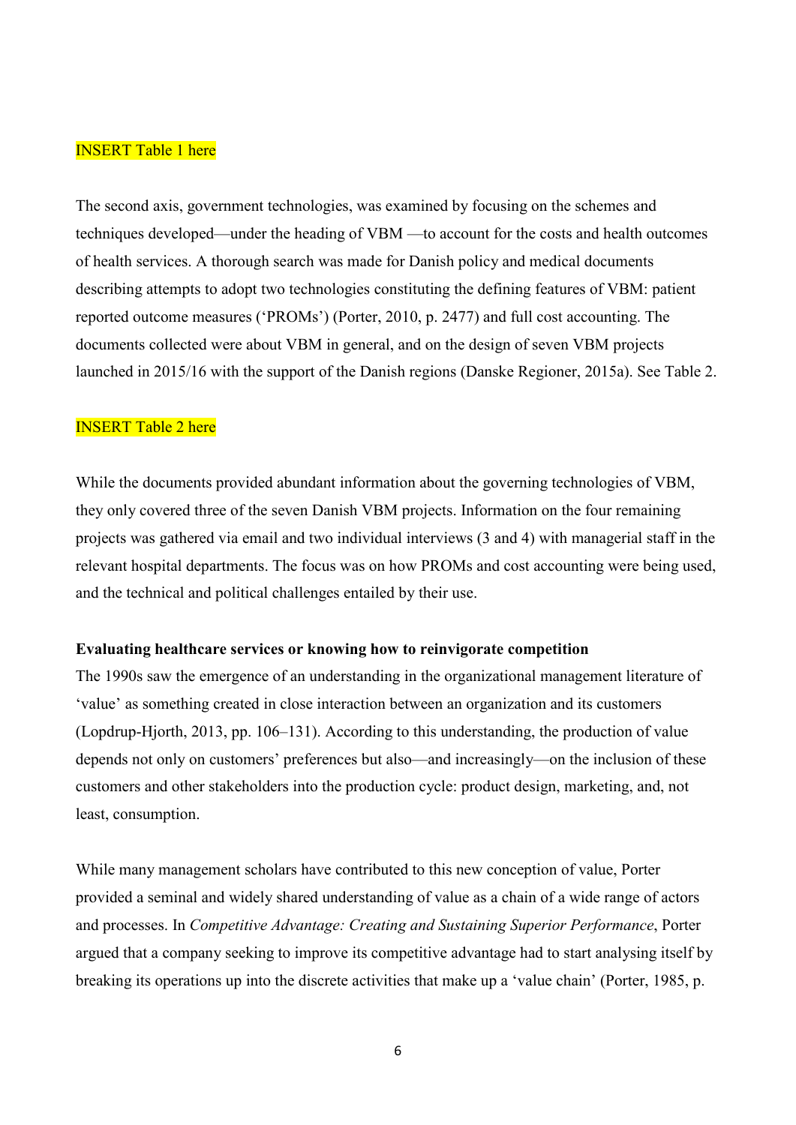#### INSERT Table 1 here

The second axis, government technologies, was examined by focusing on the schemes and techniques developed—under the heading of VBM —to account for the costs and health outcomes of health services. A thorough search was made for Danish policy and medical documents describing attempts to adopt two technologies constituting the defining features of VBM: patient reported outcome measures ('PROMs') (Porter, 2010, p. 2477) and full cost accounting. The documents collected were about VBM in general, and on the design of seven VBM projects launched in 2015/16 with the support of the Danish regions (Danske Regioner, 2015a). See Table 2.

#### INSERT Table 2 here

While the documents provided abundant information about the governing technologies of VBM, they only covered three of the seven Danish VBM projects. Information on the four remaining projects was gathered via email and two individual interviews (3 and 4) with managerial staff in the relevant hospital departments. The focus was on how PROMs and cost accounting were being used, and the technical and political challenges entailed by their use.

#### **Evaluating healthcare services or knowing how to reinvigorate competition**

The 1990s saw the emergence of an understanding in the organizational management literature of 'value' as something created in close interaction between an organization and its customers (Lopdrup-Hjorth, 2013, pp. 106–131). According to this understanding, the production of value depends not only on customers' preferences but also—and increasingly—on the inclusion of these customers and other stakeholders into the production cycle: product design, marketing, and, not least, consumption.

While many management scholars have contributed to this new conception of value, Porter provided a seminal and widely shared understanding of value as a chain of a wide range of actors and processes. In *Competitive Advantage: Creating and Sustaining Superior Performance*, Porter argued that a company seeking to improve its competitive advantage had to start analysing itself by breaking its operations up into the discrete activities that make up a 'value chain' (Porter, 1985, p.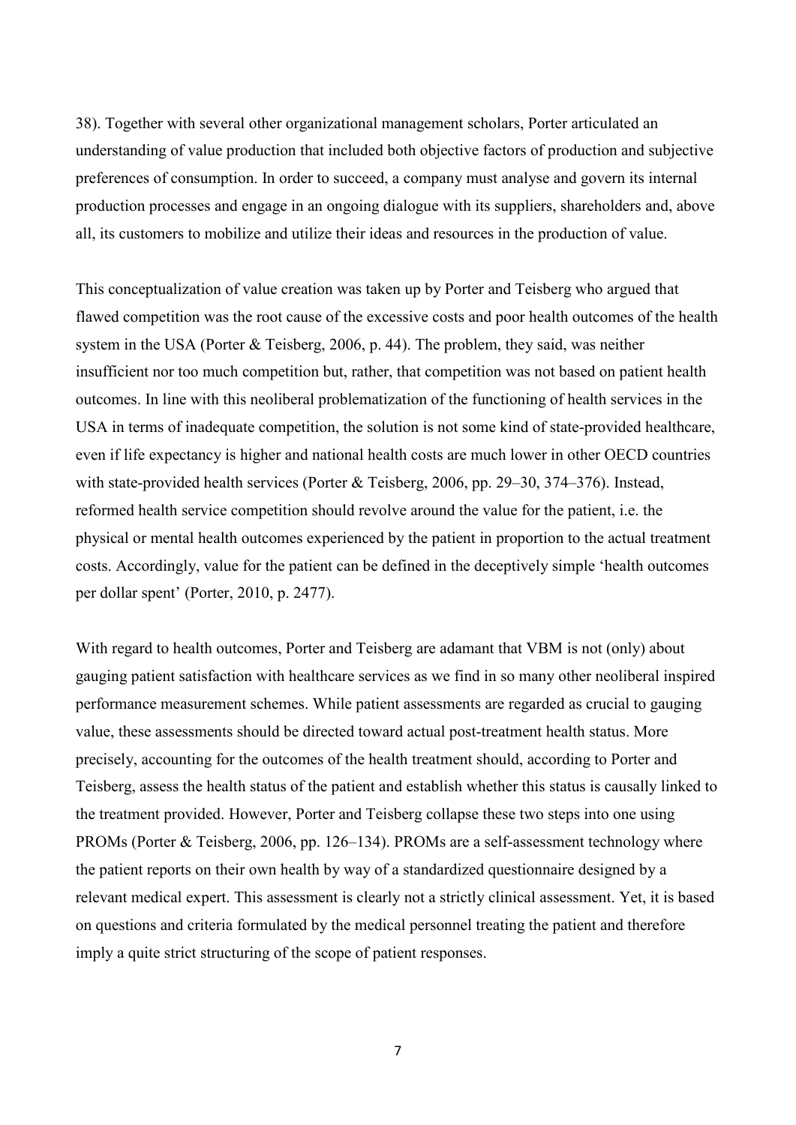38). Together with several other organizational management scholars, Porter articulated an understanding of value production that included both objective factors of production and subjective preferences of consumption. In order to succeed, a company must analyse and govern its internal production processes and engage in an ongoing dialogue with its suppliers, shareholders and, above all, its customers to mobilize and utilize their ideas and resources in the production of value.

This conceptualization of value creation was taken up by Porter and Teisberg who argued that flawed competition was the root cause of the excessive costs and poor health outcomes of the health system in the USA (Porter & Teisberg, 2006, p. 44). The problem, they said, was neither insufficient nor too much competition but, rather, that competition was not based on patient health outcomes. In line with this neoliberal problematization of the functioning of health services in the USA in terms of inadequate competition, the solution is not some kind of state-provided healthcare, even if life expectancy is higher and national health costs are much lower in other OECD countries with state-provided health services (Porter & Teisberg, 2006, pp. 29–30, 374–376). Instead, reformed health service competition should revolve around the value for the patient, i.e. the physical or mental health outcomes experienced by the patient in proportion to the actual treatment costs. Accordingly, value for the patient can be defined in the deceptively simple 'health outcomes per dollar spent' (Porter, 2010, p. 2477).

With regard to health outcomes, Porter and Teisberg are adamant that VBM is not (only) about gauging patient satisfaction with healthcare services as we find in so many other neoliberal inspired performance measurement schemes. While patient assessments are regarded as crucial to gauging value, these assessments should be directed toward actual post-treatment health status. More precisely, accounting for the outcomes of the health treatment should, according to Porter and Teisberg, assess the health status of the patient and establish whether this status is causally linked to the treatment provided. However, Porter and Teisberg collapse these two steps into one using PROMs (Porter & Teisberg, 2006, pp. 126–134). PROMs are a self-assessment technology where the patient reports on their own health by way of a standardized questionnaire designed by a relevant medical expert. This assessment is clearly not a strictly clinical assessment. Yet, it is based on questions and criteria formulated by the medical personnel treating the patient and therefore imply a quite strict structuring of the scope of patient responses.

7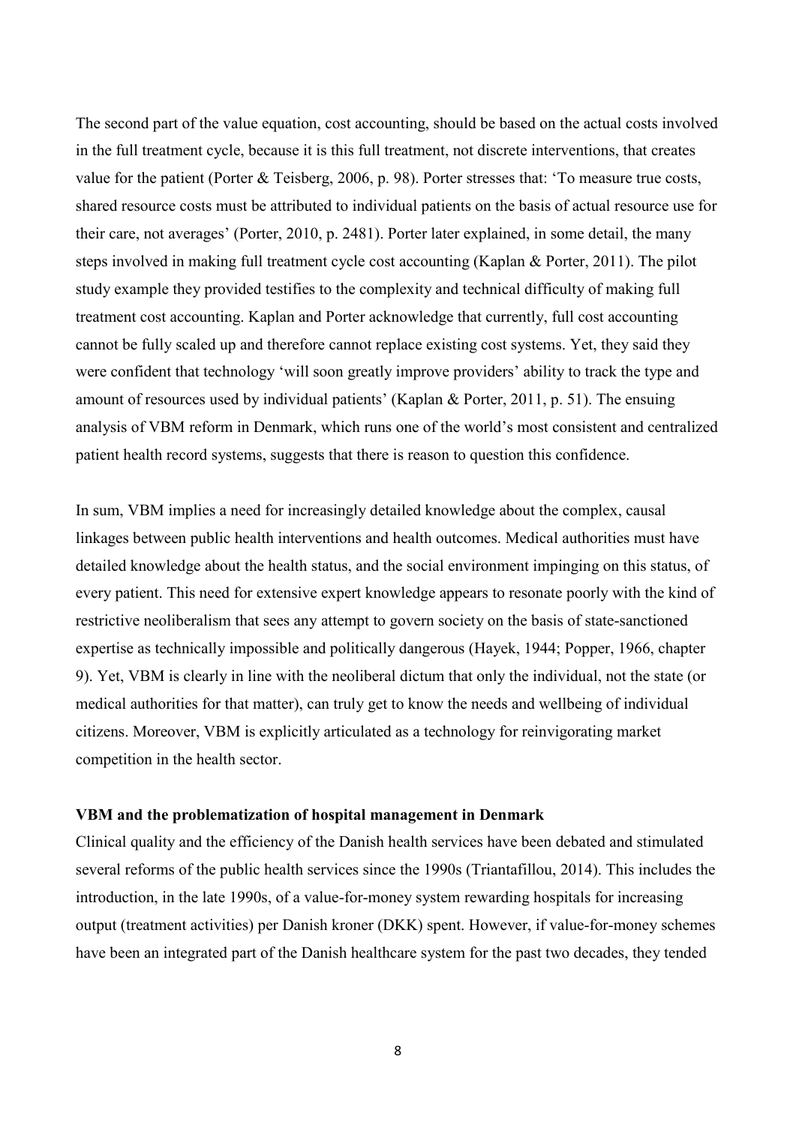The second part of the value equation, cost accounting, should be based on the actual costs involved in the full treatment cycle, because it is this full treatment, not discrete interventions, that creates value for the patient (Porter & Teisberg, 2006, p. 98). Porter stresses that: 'To measure true costs, shared resource costs must be attributed to individual patients on the basis of actual resource use for their care, not averages' (Porter, 2010, p. 2481). Porter later explained, in some detail, the many steps involved in making full treatment cycle cost accounting (Kaplan & Porter, 2011). The pilot study example they provided testifies to the complexity and technical difficulty of making full treatment cost accounting. Kaplan and Porter acknowledge that currently, full cost accounting cannot be fully scaled up and therefore cannot replace existing cost systems. Yet, they said they were confident that technology 'will soon greatly improve providers' ability to track the type and amount of resources used by individual patients' (Kaplan & Porter, 2011, p. 51). The ensuing analysis of VBM reform in Denmark, which runs one of the world's most consistent and centralized patient health record systems, suggests that there is reason to question this confidence.

In sum, VBM implies a need for increasingly detailed knowledge about the complex, causal linkages between public health interventions and health outcomes. Medical authorities must have detailed knowledge about the health status, and the social environment impinging on this status, of every patient. This need for extensive expert knowledge appears to resonate poorly with the kind of restrictive neoliberalism that sees any attempt to govern society on the basis of state-sanctioned expertise as technically impossible and politically dangerous (Hayek, 1944; Popper, 1966, chapter 9). Yet, VBM is clearly in line with the neoliberal dictum that only the individual, not the state (or medical authorities for that matter), can truly get to know the needs and wellbeing of individual citizens. Moreover, VBM is explicitly articulated as a technology for reinvigorating market competition in the health sector.

#### **VBM and the problematization of hospital management in Denmark**

Clinical quality and the efficiency of the Danish health services have been debated and stimulated several reforms of the public health services since the 1990s (Triantafillou, 2014). This includes the introduction, in the late 1990s, of a value-for-money system rewarding hospitals for increasing output (treatment activities) per Danish kroner (DKK) spent. However, if value-for-money schemes have been an integrated part of the Danish healthcare system for the past two decades, they tended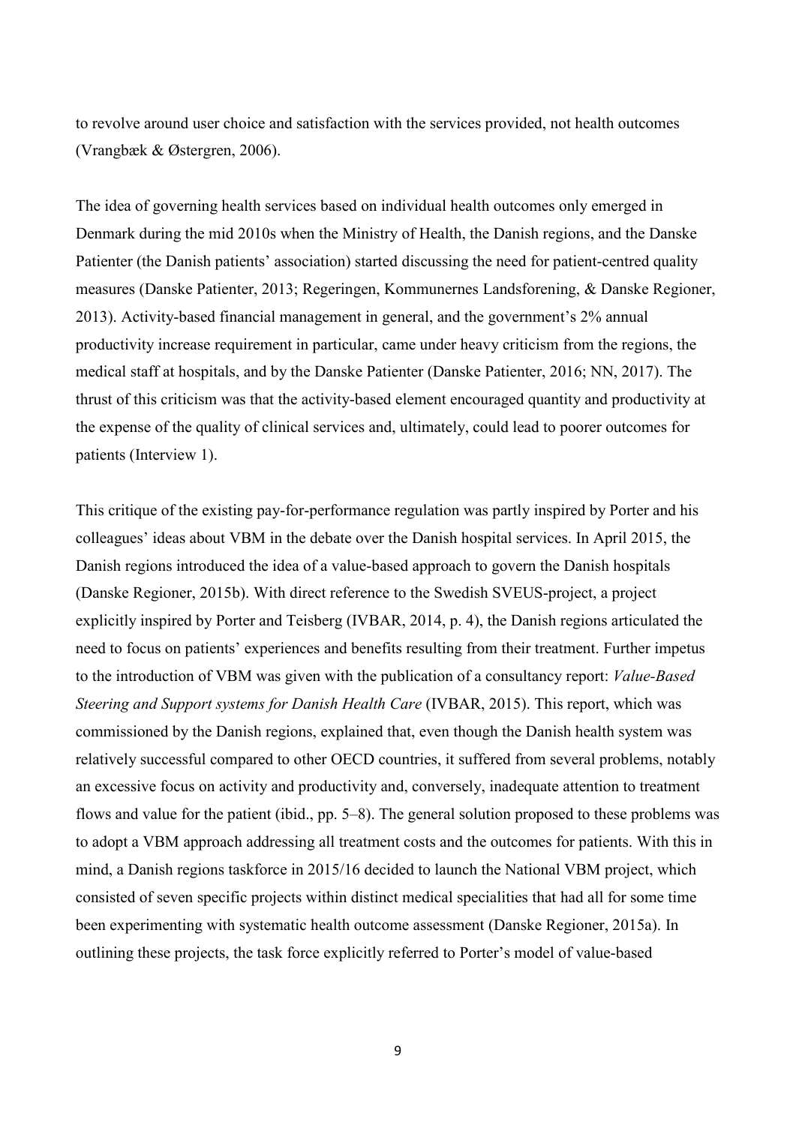to revolve around user choice and satisfaction with the services provided, not health outcomes (Vrangbæk & Østergren, 2006).

The idea of governing health services based on individual health outcomes only emerged in Denmark during the mid 2010s when the Ministry of Health, the Danish regions, and the Danske Patienter (the Danish patients' association) started discussing the need for patient-centred quality measures (Danske Patienter, 2013; Regeringen, Kommunernes Landsforening, & Danske Regioner, 2013). Activity-based financial management in general, and the government's 2% annual productivity increase requirement in particular, came under heavy criticism from the regions, the medical staff at hospitals, and by the Danske Patienter (Danske Patienter, 2016; NN, 2017). The thrust of this criticism was that the activity-based element encouraged quantity and productivity at the expense of the quality of clinical services and, ultimately, could lead to poorer outcomes for patients (Interview 1).

This critique of the existing pay-for-performance regulation was partly inspired by Porter and his colleagues' ideas about VBM in the debate over the Danish hospital services. In April 2015, the Danish regions introduced the idea of a value-based approach to govern the Danish hospitals (Danske Regioner, 2015b). With direct reference to the Swedish SVEUS-project, a project explicitly inspired by Porter and Teisberg (IVBAR, 2014, p. 4), the Danish regions articulated the need to focus on patients' experiences and benefits resulting from their treatment. Further impetus to the introduction of VBM was given with the publication of a consultancy report: *Value-Based Steering and Support systems for Danish Health Care* (IVBAR, 2015). This report, which was commissioned by the Danish regions, explained that, even though the Danish health system was relatively successful compared to other OECD countries, it suffered from several problems, notably an excessive focus on activity and productivity and, conversely, inadequate attention to treatment flows and value for the patient (ibid., pp. 5–8). The general solution proposed to these problems was to adopt a VBM approach addressing all treatment costs and the outcomes for patients. With this in mind, a Danish regions taskforce in 2015/16 decided to launch the National VBM project, which consisted of seven specific projects within distinct medical specialities that had all for some time been experimenting with systematic health outcome assessment (Danske Regioner, 2015a). In outlining these projects, the task force explicitly referred to Porter's model of value-based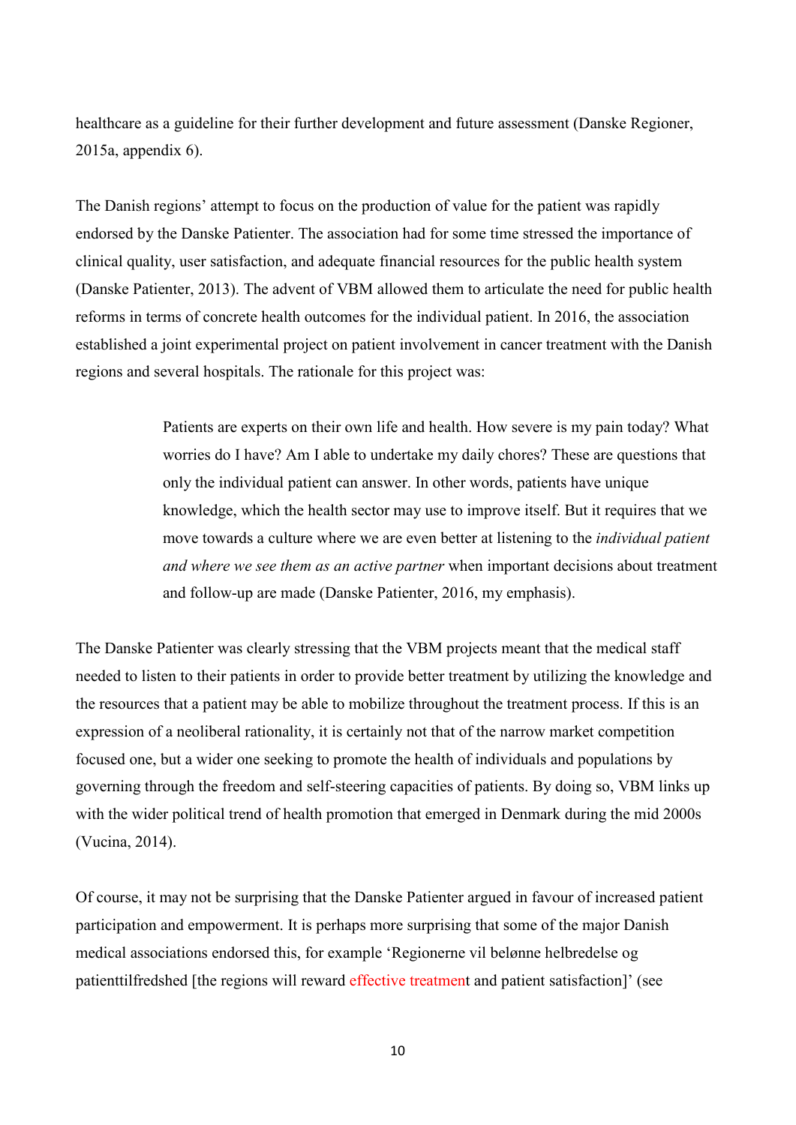healthcare as a guideline for their further development and future assessment (Danske Regioner, 2015a, appendix 6).

The Danish regions' attempt to focus on the production of value for the patient was rapidly endorsed by the Danske Patienter. The association had for some time stressed the importance of clinical quality, user satisfaction, and adequate financial resources for the public health system (Danske Patienter, 2013). The advent of VBM allowed them to articulate the need for public health reforms in terms of concrete health outcomes for the individual patient. In 2016, the association established a joint experimental project on patient involvement in cancer treatment with the Danish regions and several hospitals. The rationale for this project was:

> Patients are experts on their own life and health. How severe is my pain today? What worries do I have? Am I able to undertake my daily chores? These are questions that only the individual patient can answer. In other words, patients have unique knowledge, which the health sector may use to improve itself. But it requires that we move towards a culture where we are even better at listening to the *individual patient and where we see them as an active partner* when important decisions about treatment and follow-up are made (Danske Patienter, 2016, my emphasis).

The Danske Patienter was clearly stressing that the VBM projects meant that the medical staff needed to listen to their patients in order to provide better treatment by utilizing the knowledge and the resources that a patient may be able to mobilize throughout the treatment process. If this is an expression of a neoliberal rationality, it is certainly not that of the narrow market competition focused one, but a wider one seeking to promote the health of individuals and populations by governing through the freedom and self-steering capacities of patients. By doing so, VBM links up with the wider political trend of health promotion that emerged in Denmark during the mid 2000s (Vucina, 2014).

Of course, it may not be surprising that the Danske Patienter argued in favour of increased patient participation and empowerment. It is perhaps more surprising that some of the major Danish medical associations endorsed this, for example 'Regionerne vil belønne helbredelse og patienttilfredshed [the regions will reward effective treatment and patient satisfaction]' (see

10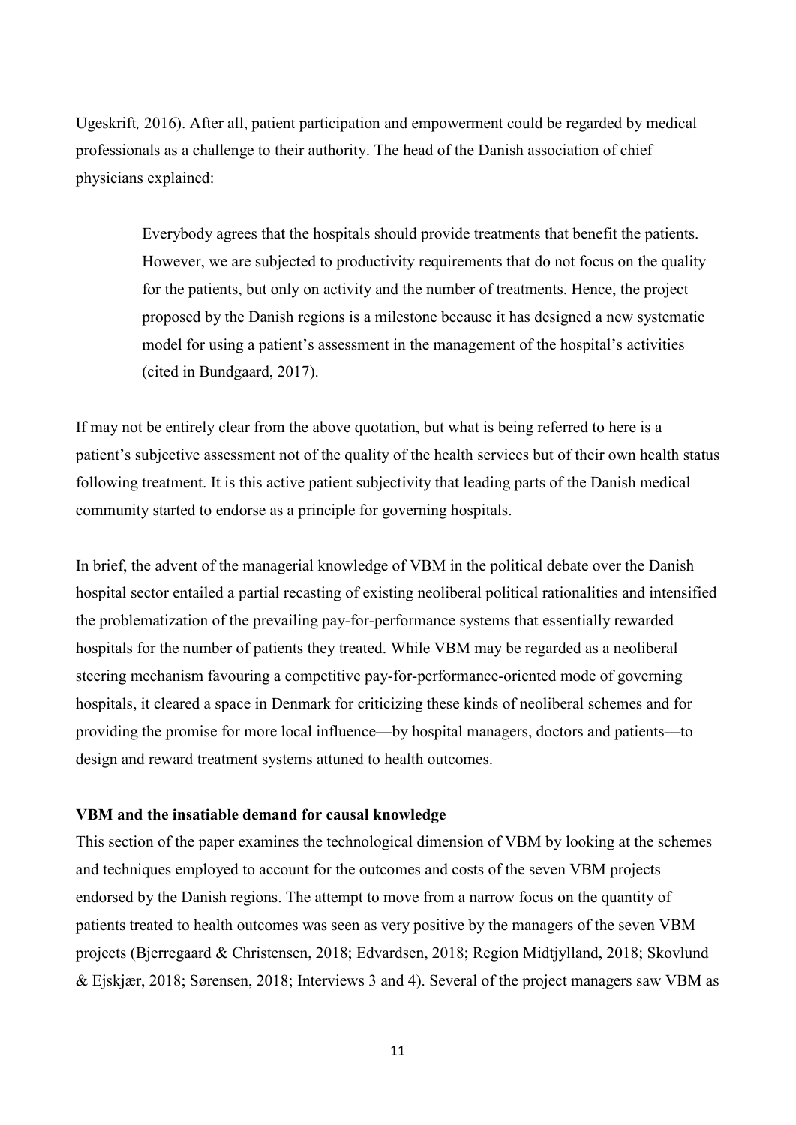Ugeskrift*,* 2016). After all, patient participation and empowerment could be regarded by medical professionals as a challenge to their authority. The head of the Danish association of chief physicians explained:

> Everybody agrees that the hospitals should provide treatments that benefit the patients. However, we are subjected to productivity requirements that do not focus on the quality for the patients, but only on activity and the number of treatments. Hence, the project proposed by the Danish regions is a milestone because it has designed a new systematic model for using a patient's assessment in the management of the hospital's activities (cited in Bundgaard, 2017).

If may not be entirely clear from the above quotation, but what is being referred to here is a patient's subjective assessment not of the quality of the health services but of their own health status following treatment. It is this active patient subjectivity that leading parts of the Danish medical community started to endorse as a principle for governing hospitals.

In brief, the advent of the managerial knowledge of VBM in the political debate over the Danish hospital sector entailed a partial recasting of existing neoliberal political rationalities and intensified the problematization of the prevailing pay-for-performance systems that essentially rewarded hospitals for the number of patients they treated. While VBM may be regarded as a neoliberal steering mechanism favouring a competitive pay-for-performance-oriented mode of governing hospitals, it cleared a space in Denmark for criticizing these kinds of neoliberal schemes and for providing the promise for more local influence—by hospital managers, doctors and patients—to design and reward treatment systems attuned to health outcomes.

#### **VBM and the insatiable demand for causal knowledge**

This section of the paper examines the technological dimension of VBM by looking at the schemes and techniques employed to account for the outcomes and costs of the seven VBM projects endorsed by the Danish regions. The attempt to move from a narrow focus on the quantity of patients treated to health outcomes was seen as very positive by the managers of the seven VBM projects (Bjerregaard & Christensen, 2018; Edvardsen, 2018; Region Midtjylland, 2018; Skovlund & Ejskjær, 2018; Sørensen, 2018; Interviews 3 and 4). Several of the project managers saw VBM as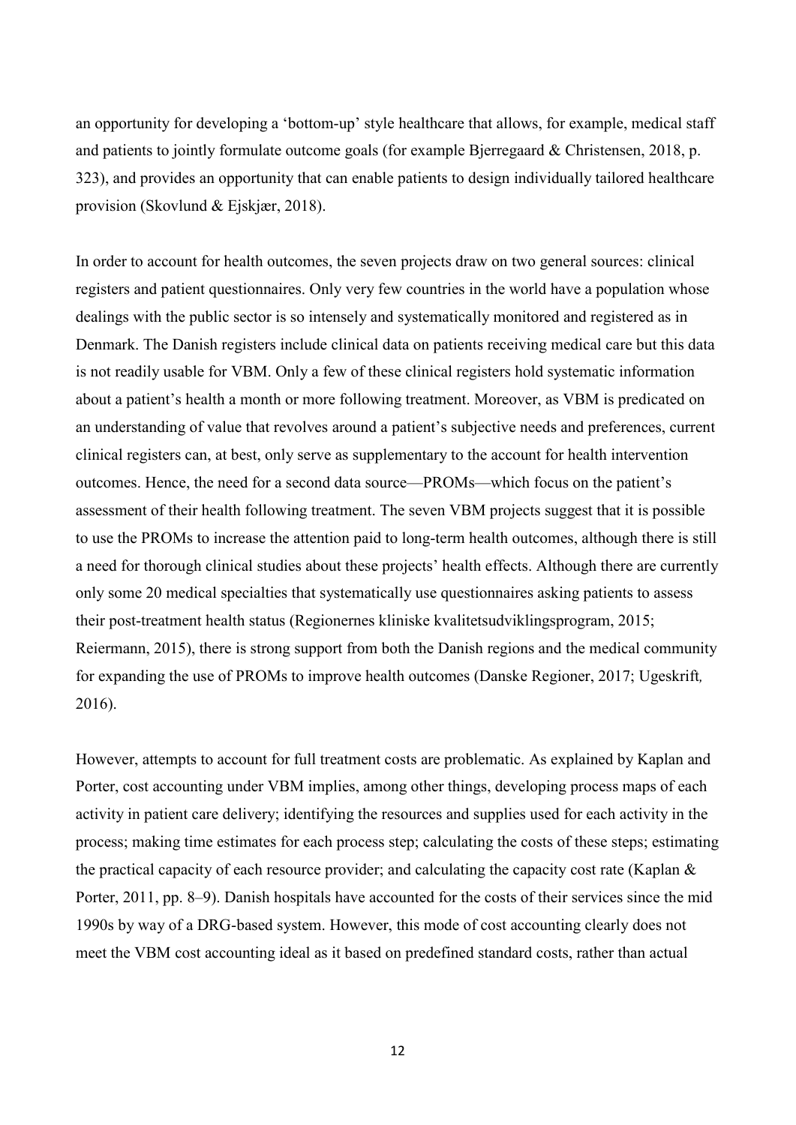an opportunity for developing a 'bottom-up' style healthcare that allows, for example, medical staff and patients to jointly formulate outcome goals (for example Bjerregaard & Christensen, 2018, p. 323), and provides an opportunity that can enable patients to design individually tailored healthcare provision (Skovlund & Ejskjær, 2018).

In order to account for health outcomes, the seven projects draw on two general sources: clinical registers and patient questionnaires. Only very few countries in the world have a population whose dealings with the public sector is so intensely and systematically monitored and registered as in Denmark. The Danish registers include clinical data on patients receiving medical care but this data is not readily usable for VBM. Only a few of these clinical registers hold systematic information about a patient's health a month or more following treatment. Moreover, as VBM is predicated on an understanding of value that revolves around a patient's subjective needs and preferences, current clinical registers can, at best, only serve as supplementary to the account for health intervention outcomes. Hence, the need for a second data source—PROMs—which focus on the patient's assessment of their health following treatment. The seven VBM projects suggest that it is possible to use the PROMs to increase the attention paid to long-term health outcomes, although there is still a need for thorough clinical studies about these projects' health effects. Although there are currently only some 20 medical specialties that systematically use questionnaires asking patients to assess their post-treatment health status (Regionernes kliniske kvalitetsudviklingsprogram, 2015; Reiermann, 2015), there is strong support from both the Danish regions and the medical community for expanding the use of PROMs to improve health outcomes (Danske Regioner, 2017; Ugeskrift*,* 2016).

However, attempts to account for full treatment costs are problematic. As explained by Kaplan and Porter, cost accounting under VBM implies, among other things, developing process maps of each activity in patient care delivery; identifying the resources and supplies used for each activity in the process; making time estimates for each process step; calculating the costs of these steps; estimating the practical capacity of each resource provider; and calculating the capacity cost rate (Kaplan & Porter, 2011, pp. 8–9). Danish hospitals have accounted for the costs of their services since the mid 1990s by way of a DRG-based system. However, this mode of cost accounting clearly does not meet the VBM cost accounting ideal as it based on predefined standard costs, rather than actual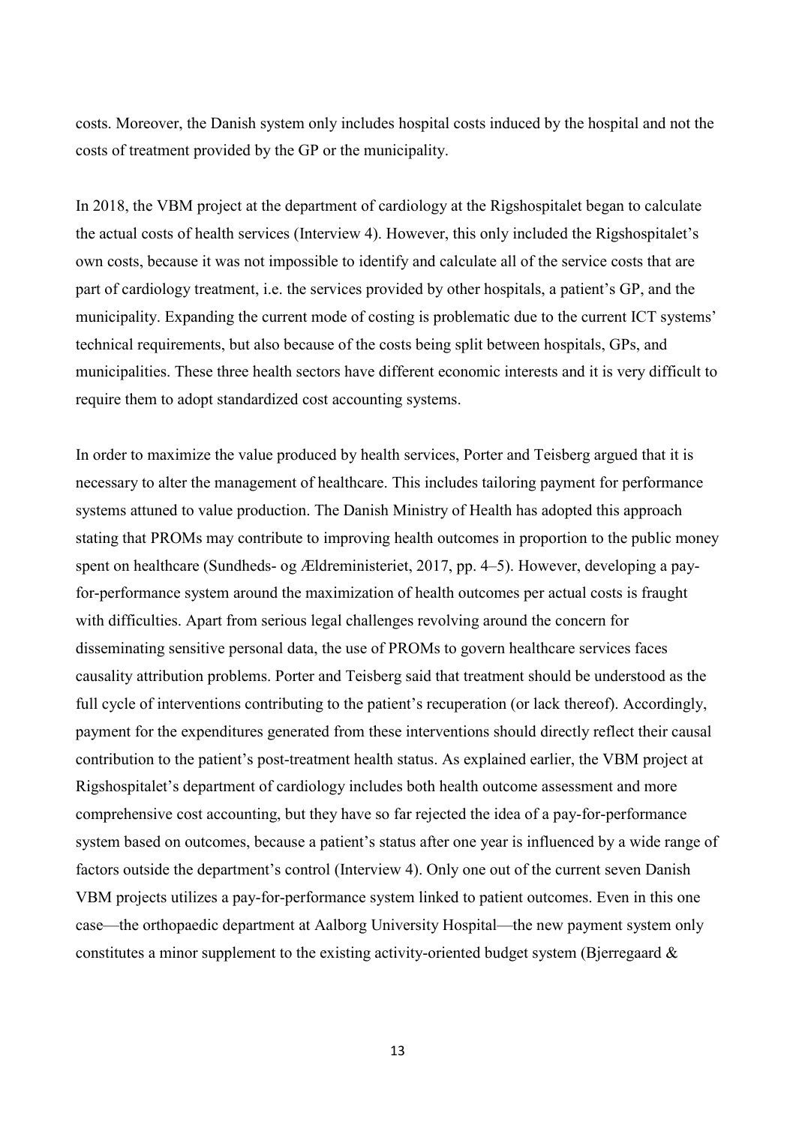costs. Moreover, the Danish system only includes hospital costs induced by the hospital and not the costs of treatment provided by the GP or the municipality.

In 2018, the VBM project at the department of cardiology at the Rigshospitalet began to calculate the actual costs of health services (Interview 4). However, this only included the Rigshospitalet's own costs, because it was not impossible to identify and calculate all of the service costs that are part of cardiology treatment, i.e. the services provided by other hospitals, a patient's GP, and the municipality. Expanding the current mode of costing is problematic due to the current ICT systems' technical requirements, but also because of the costs being split between hospitals, GPs, and municipalities. These three health sectors have different economic interests and it is very difficult to require them to adopt standardized cost accounting systems.

In order to maximize the value produced by health services, Porter and Teisberg argued that it is necessary to alter the management of healthcare. This includes tailoring payment for performance systems attuned to value production. The Danish Ministry of Health has adopted this approach stating that PROMs may contribute to improving health outcomes in proportion to the public money spent on healthcare (Sundheds- og Ældreministeriet, 2017, pp. 4–5). However, developing a payfor-performance system around the maximization of health outcomes per actual costs is fraught with difficulties. Apart from serious legal challenges revolving around the concern for disseminating sensitive personal data, the use of PROMs to govern healthcare services faces causality attribution problems. Porter and Teisberg said that treatment should be understood as the full cycle of interventions contributing to the patient's recuperation (or lack thereof). Accordingly, payment for the expenditures generated from these interventions should directly reflect their causal contribution to the patient's post-treatment health status. As explained earlier, the VBM project at Rigshospitalet's department of cardiology includes both health outcome assessment and more comprehensive cost accounting, but they have so far rejected the idea of a pay-for-performance system based on outcomes, because a patient's status after one year is influenced by a wide range of factors outside the department's control (Interview 4). Only one out of the current seven Danish VBM projects utilizes a pay-for-performance system linked to patient outcomes. Even in this one case—the orthopaedic department at Aalborg University Hospital—the new payment system only constitutes a minor supplement to the existing activity-oriented budget system (Bjerregaard &

13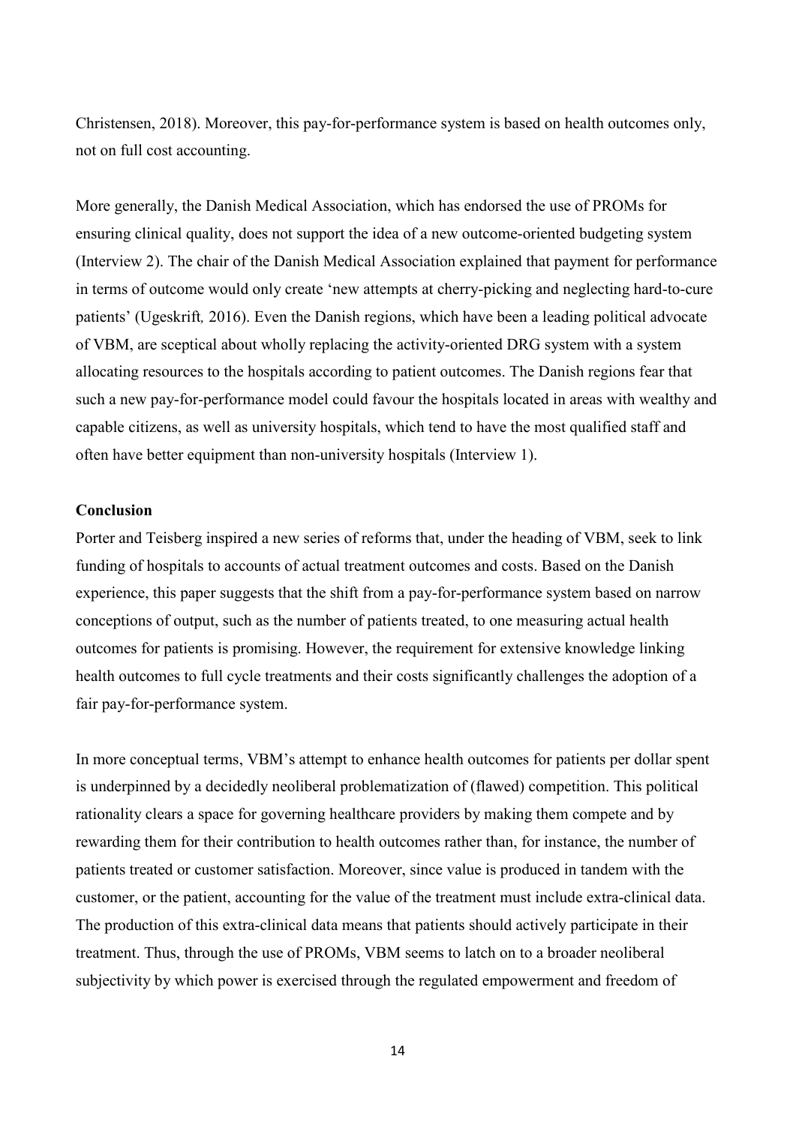Christensen, 2018). Moreover, this pay-for-performance system is based on health outcomes only, not on full cost accounting.

More generally, the Danish Medical Association, which has endorsed the use of PROMs for ensuring clinical quality, does not support the idea of a new outcome-oriented budgeting system (Interview 2). The chair of the Danish Medical Association explained that payment for performance in terms of outcome would only create 'new attempts at cherry-picking and neglecting hard-to-cure patients' (Ugeskrift*,* 2016). Even the Danish regions, which have been a leading political advocate of VBM, are sceptical about wholly replacing the activity-oriented DRG system with a system allocating resources to the hospitals according to patient outcomes. The Danish regions fear that such a new pay-for-performance model could favour the hospitals located in areas with wealthy and capable citizens, as well as university hospitals, which tend to have the most qualified staff and often have better equipment than non-university hospitals (Interview 1).

#### **Conclusion**

Porter and Teisberg inspired a new series of reforms that, under the heading of VBM, seek to link funding of hospitals to accounts of actual treatment outcomes and costs. Based on the Danish experience, this paper suggests that the shift from a pay-for-performance system based on narrow conceptions of output, such as the number of patients treated, to one measuring actual health outcomes for patients is promising. However, the requirement for extensive knowledge linking health outcomes to full cycle treatments and their costs significantly challenges the adoption of a fair pay-for-performance system.

In more conceptual terms, VBM's attempt to enhance health outcomes for patients per dollar spent is underpinned by a decidedly neoliberal problematization of (flawed) competition. This political rationality clears a space for governing healthcare providers by making them compete and by rewarding them for their contribution to health outcomes rather than, for instance, the number of patients treated or customer satisfaction. Moreover, since value is produced in tandem with the customer, or the patient, accounting for the value of the treatment must include extra-clinical data. The production of this extra-clinical data means that patients should actively participate in their treatment. Thus, through the use of PROMs, VBM seems to latch on to a broader neoliberal subjectivity by which power is exercised through the regulated empowerment and freedom of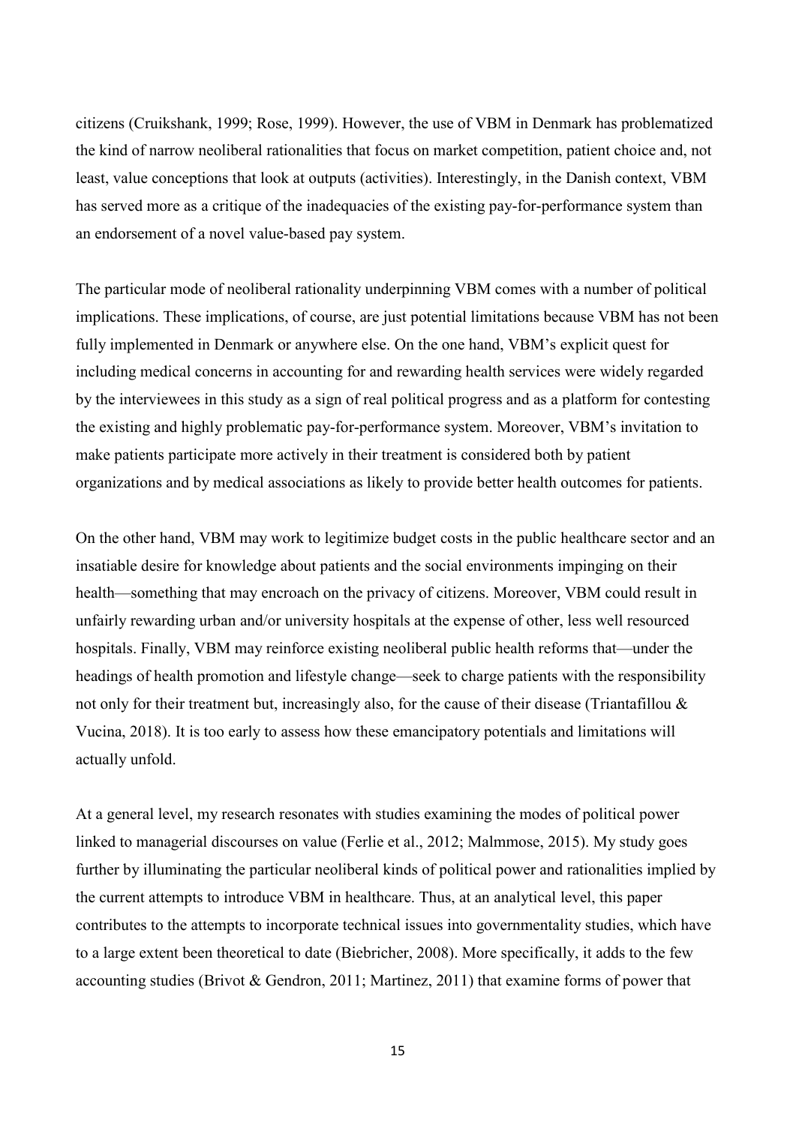citizens (Cruikshank, 1999; Rose, 1999). However, the use of VBM in Denmark has problematized the kind of narrow neoliberal rationalities that focus on market competition, patient choice and, not least, value conceptions that look at outputs (activities). Interestingly, in the Danish context, VBM has served more as a critique of the inadequacies of the existing pay-for-performance system than an endorsement of a novel value-based pay system.

The particular mode of neoliberal rationality underpinning VBM comes with a number of political implications. These implications, of course, are just potential limitations because VBM has not been fully implemented in Denmark or anywhere else. On the one hand, VBM's explicit quest for including medical concerns in accounting for and rewarding health services were widely regarded by the interviewees in this study as a sign of real political progress and as a platform for contesting the existing and highly problematic pay-for-performance system. Moreover, VBM's invitation to make patients participate more actively in their treatment is considered both by patient organizations and by medical associations as likely to provide better health outcomes for patients.

On the other hand, VBM may work to legitimize budget costs in the public healthcare sector and an insatiable desire for knowledge about patients and the social environments impinging on their health—something that may encroach on the privacy of citizens. Moreover, VBM could result in unfairly rewarding urban and/or university hospitals at the expense of other, less well resourced hospitals. Finally, VBM may reinforce existing neoliberal public health reforms that—under the headings of health promotion and lifestyle change—seek to charge patients with the responsibility not only for their treatment but, increasingly also, for the cause of their disease (Triantafillou & Vucina, 2018). It is too early to assess how these emancipatory potentials and limitations will actually unfold.

At a general level, my research resonates with studies examining the modes of political power linked to managerial discourses on value (Ferlie et al., 2012; Malmmose, 2015). My study goes further by illuminating the particular neoliberal kinds of political power and rationalities implied by the current attempts to introduce VBM in healthcare. Thus, at an analytical level, this paper contributes to the attempts to incorporate technical issues into governmentality studies, which have to a large extent been theoretical to date (Biebricher, 2008). More specifically, it adds to the few accounting studies (Brivot & Gendron, 2011; Martinez, 2011) that examine forms of power that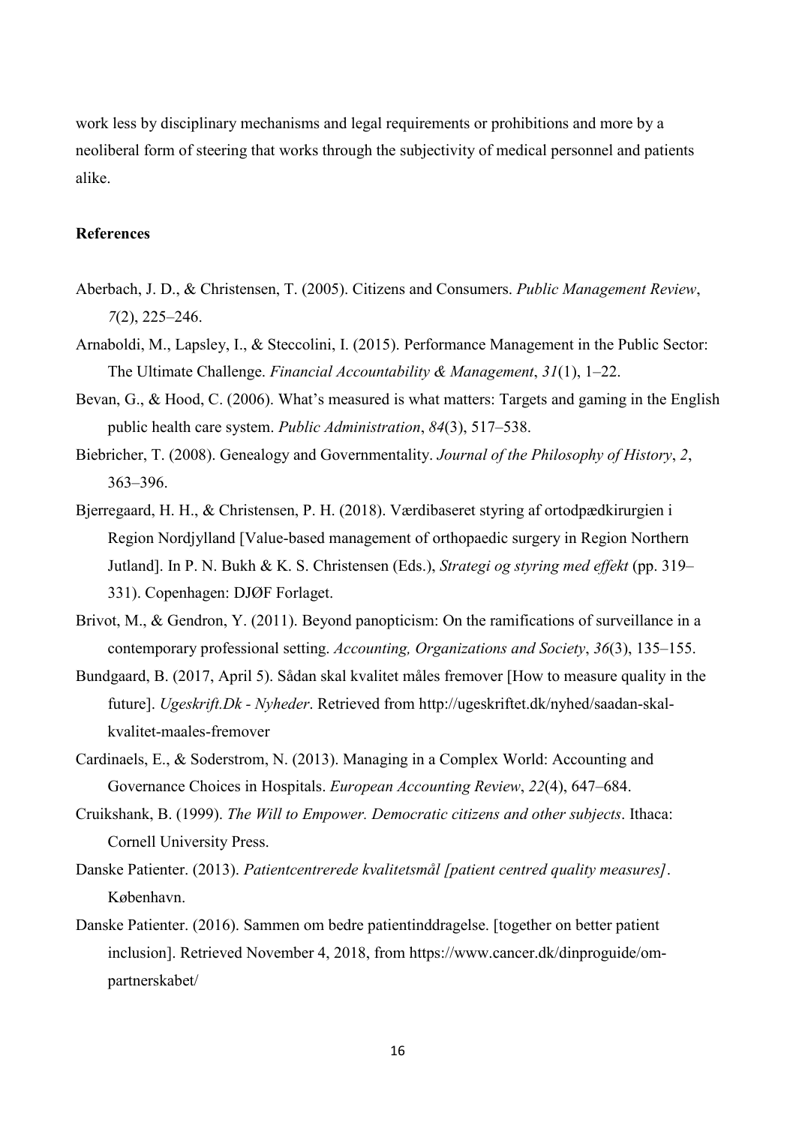work less by disciplinary mechanisms and legal requirements or prohibitions and more by a neoliberal form of steering that works through the subjectivity of medical personnel and patients alike.

#### **References**

- Aberbach, J. D., & Christensen, T. (2005). Citizens and Consumers. *Public Management Review*, *7*(2), 225–246.
- Arnaboldi, M., Lapsley, I., & Steccolini, I. (2015). Performance Management in the Public Sector: The Ultimate Challenge. *Financial Accountability & Management*, *31*(1), 1–22.
- Bevan, G., & Hood, C. (2006). What's measured is what matters: Targets and gaming in the English public health care system. *Public Administration*, *84*(3), 517–538.
- Biebricher, T. (2008). Genealogy and Governmentality. *Journal of the Philosophy of History*, *2*, 363–396.
- Bjerregaard, H. H., & Christensen, P. H. (2018). Værdibaseret styring af ortodpædkirurgien i Region Nordjylland [Value-based management of orthopaedic surgery in Region Northern Jutland]. In P. N. Bukh & K. S. Christensen (Eds.), *Strategi og styring med effekt* (pp. 319– 331). Copenhagen: DJØF Forlaget.
- Brivot, M., & Gendron, Y. (2011). Beyond panopticism: On the ramifications of surveillance in a contemporary professional setting. *Accounting, Organizations and Society*, *36*(3), 135–155.
- Bundgaard, B. (2017, April 5). Sådan skal kvalitet måles fremover [How to measure quality in the future]. *Ugeskrift.Dk - Nyheder*. Retrieved from http://ugeskriftet.dk/nyhed/saadan-skalkvalitet-maales-fremover
- Cardinaels, E., & Soderstrom, N. (2013). Managing in a Complex World: Accounting and Governance Choices in Hospitals. *European Accounting Review*, *22*(4), 647–684.
- Cruikshank, B. (1999). *The Will to Empower. Democratic citizens and other subjects*. Ithaca: Cornell University Press.
- Danske Patienter. (2013). *Patientcentrerede kvalitetsmål [patient centred quality measures]*. København.
- Danske Patienter. (2016). Sammen om bedre patientinddragelse. [together on better patient inclusion]. Retrieved November 4, 2018, from https://www.cancer.dk/dinproguide/ompartnerskabet/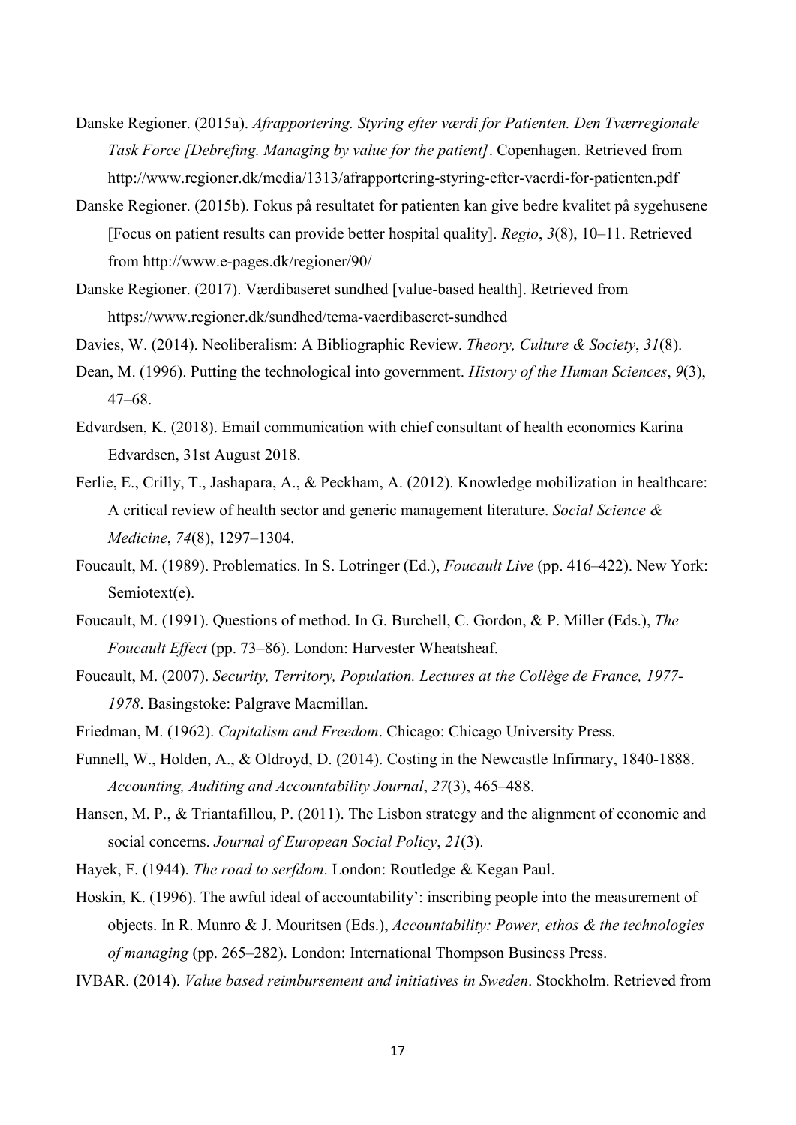- Danske Regioner. (2015a). *Afrapportering. Styring efter værdi for Patienten. Den Tværregionale Task Force [Debrefing. Managing by value for the patient]*. Copenhagen. Retrieved from http://www.regioner.dk/media/1313/afrapportering-styring-efter-vaerdi-for-patienten.pdf
- Danske Regioner. (2015b). Fokus på resultatet for patienten kan give bedre kvalitet på sygehusene [Focus on patient results can provide better hospital quality]. *Regio*, *3*(8), 10–11. Retrieved from http://www.e-pages.dk/regioner/90/
- Danske Regioner. (2017). Værdibaseret sundhed [value-based health]. Retrieved from https://www.regioner.dk/sundhed/tema-vaerdibaseret-sundhed

Davies, W. (2014). Neoliberalism: A Bibliographic Review. *Theory, Culture & Society*, *31*(8).

- Dean, M. (1996). Putting the technological into government. *History of the Human Sciences*, *9*(3), 47–68.
- Edvardsen, K. (2018). Email communication with chief consultant of health economics Karina Edvardsen, 31st August 2018.
- Ferlie, E., Crilly, T., Jashapara, A., & Peckham, A. (2012). Knowledge mobilization in healthcare: A critical review of health sector and generic management literature. *Social Science & Medicine*, *74*(8), 1297–1304.
- Foucault, M. (1989). Problematics. In S. Lotringer (Ed.), *Foucault Live* (pp. 416–422). New York: Semiotext(e).
- Foucault, M. (1991). Questions of method. In G. Burchell, C. Gordon, & P. Miller (Eds.), *The Foucault Effect* (pp. 73–86). London: Harvester Wheatsheaf.
- Foucault, M. (2007). *Security, Territory, Population. Lectures at the Collège de France, 1977- 1978*. Basingstoke: Palgrave Macmillan.

Friedman, M. (1962). *Capitalism and Freedom*. Chicago: Chicago University Press.

- Funnell, W., Holden, A., & Oldroyd, D. (2014). Costing in the Newcastle Infirmary, 1840-1888. *Accounting, Auditing and Accountability Journal*, *27*(3), 465–488.
- Hansen, M. P., & Triantafillou, P. (2011). The Lisbon strategy and the alignment of economic and social concerns. *Journal of European Social Policy*, *21*(3).

Hayek, F. (1944). *The road to serfdom*. London: Routledge & Kegan Paul.

- Hoskin, K. (1996). The awful ideal of accountability': inscribing people into the measurement of objects. In R. Munro & J. Mouritsen (Eds.), *Accountability: Power, ethos & the technologies of managing* (pp. 265–282). London: International Thompson Business Press.
- IVBAR. (2014). *Value based reimbursement and initiatives in Sweden*. Stockholm. Retrieved from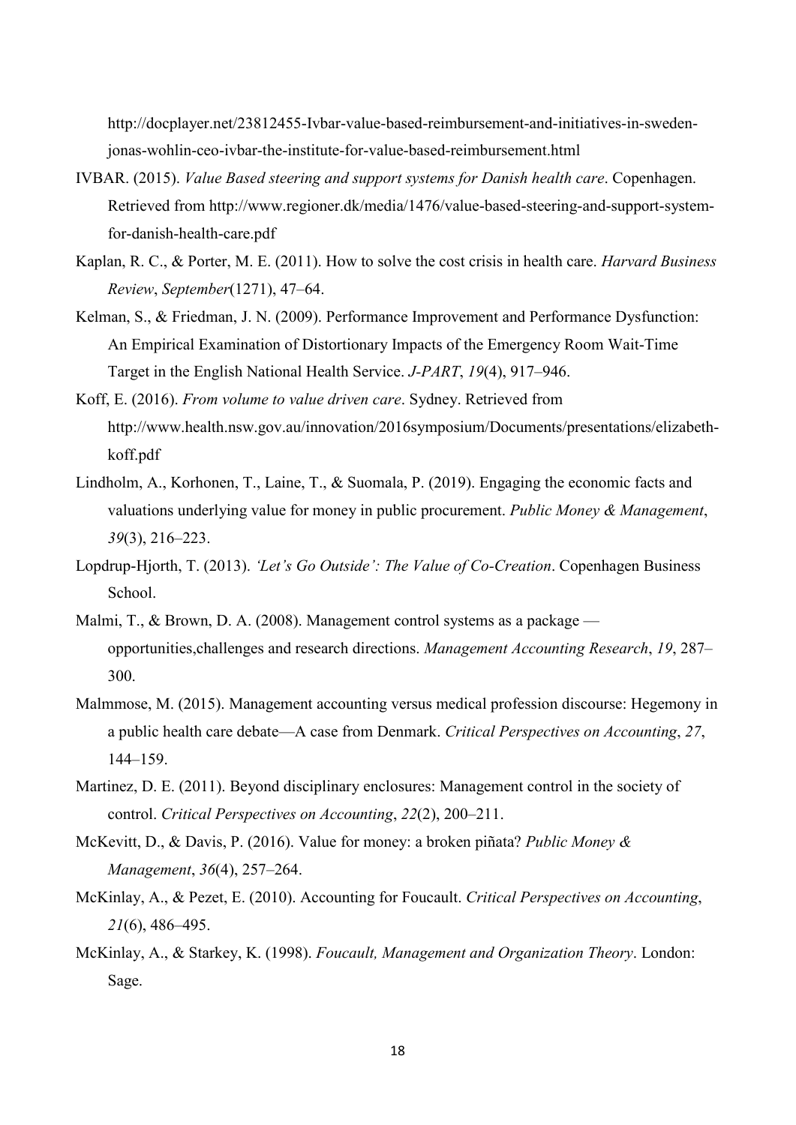http://docplayer.net/23812455-Ivbar-value-based-reimbursement-and-initiatives-in-swedenjonas-wohlin-ceo-ivbar-the-institute-for-value-based-reimbursement.html

- IVBAR. (2015). *Value Based steering and support systems for Danish health care*. Copenhagen. Retrieved from http://www.regioner.dk/media/1476/value-based-steering-and-support-systemfor-danish-health-care.pdf
- Kaplan, R. C., & Porter, M. E. (2011). How to solve the cost crisis in health care. *Harvard Business Review*, *September*(1271), 47–64.
- Kelman, S., & Friedman, J. N. (2009). Performance Improvement and Performance Dysfunction: An Empirical Examination of Distortionary Impacts of the Emergency Room Wait-Time Target in the English National Health Service. *J-PART*, *19*(4), 917–946.
- Koff, E. (2016). *From volume to value driven care*. Sydney. Retrieved from http://www.health.nsw.gov.au/innovation/2016symposium/Documents/presentations/elizabethkoff.pdf
- Lindholm, A., Korhonen, T., Laine, T., & Suomala, P. (2019). Engaging the economic facts and valuations underlying value for money in public procurement. *Public Money & Management*, *39*(3), 216–223.
- Lopdrup-Hjorth, T. (2013). *'Let's Go Outside': The Value of Co-Creation*. Copenhagen Business School.
- Malmi, T., & Brown, D. A. (2008). Management control systems as a package opportunities,challenges and research directions. *Management Accounting Research*, *19*, 287– 300.
- Malmmose, M. (2015). Management accounting versus medical profession discourse: Hegemony in a public health care debate—A case from Denmark. *Critical Perspectives on Accounting*, *27*, 144–159.
- Martinez, D. E. (2011). Beyond disciplinary enclosures: Management control in the society of control. *Critical Perspectives on Accounting*, *22*(2), 200–211.
- McKevitt, D., & Davis, P. (2016). Value for money: a broken piñata? *Public Money & Management*, *36*(4), 257–264.
- McKinlay, A., & Pezet, E. (2010). Accounting for Foucault. *Critical Perspectives on Accounting*, *21*(6), 486–495.
- McKinlay, A., & Starkey, K. (1998). *Foucault, Management and Organization Theory*. London: Sage.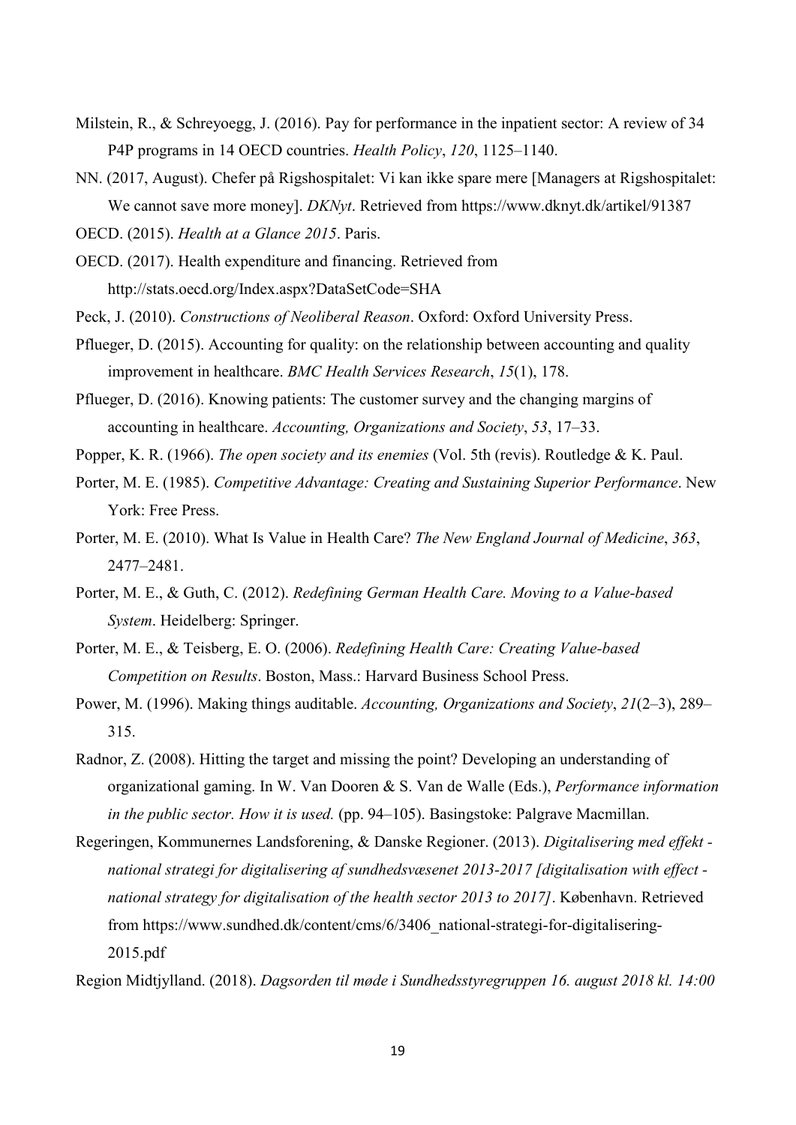- Milstein, R., & Schreyoegg, J. (2016). Pay for performance in the inpatient sector: A review of 34 P4P programs in 14 OECD countries. *Health Policy*, *120*, 1125–1140.
- NN. (2017, August). Chefer på Rigshospitalet: Vi kan ikke spare mere [Managers at Rigshospitalet: We cannot save more money]. *DKNyt*. Retrieved from https://www.dknyt.dk/artikel/91387
- OECD. (2015). *Health at a Glance 2015*. Paris.
- OECD. (2017). Health expenditure and financing. Retrieved from http://stats.oecd.org/Index.aspx?DataSetCode=SHA
- Peck, J. (2010). *Constructions of Neoliberal Reason*. Oxford: Oxford University Press.
- Pflueger, D. (2015). Accounting for quality: on the relationship between accounting and quality improvement in healthcare. *BMC Health Services Research*, *15*(1), 178.
- Pflueger, D. (2016). Knowing patients: The customer survey and the changing margins of accounting in healthcare. *Accounting, Organizations and Society*, *53*, 17–33.
- Popper, K. R. (1966). *The open society and its enemies* (Vol. 5th (revis). Routledge & K. Paul.
- Porter, M. E. (1985). *Competitive Advantage: Creating and Sustaining Superior Performance*. New York: Free Press.
- Porter, M. E. (2010). What Is Value in Health Care? *The New England Journal of Medicine*, *363*, 2477–2481.
- Porter, M. E., & Guth, C. (2012). *Redefining German Health Care. Moving to a Value-based System*. Heidelberg: Springer.
- Porter, M. E., & Teisberg, E. O. (2006). *Redefining Health Care: Creating Value-based Competition on Results*. Boston, Mass.: Harvard Business School Press.
- Power, M. (1996). Making things auditable. *Accounting, Organizations and Society*, *21*(2–3), 289– 315.
- Radnor, Z. (2008). Hitting the target and missing the point? Developing an understanding of organizational gaming. In W. Van Dooren & S. Van de Walle (Eds.), *Performance information in the public sector. How it is used.* (pp. 94–105). Basingstoke: Palgrave Macmillan.
- Regeringen, Kommunernes Landsforening, & Danske Regioner. (2013). *Digitalisering med effekt national strategi for digitalisering af sundhedsvæsenet 2013-2017 [digitalisation with effect national strategy for digitalisation of the health sector 2013 to 2017]*. København. Retrieved from https://www.sundhed.dk/content/cms/6/3406\_national-strategi-for-digitalisering-2015.pdf
- Region Midtjylland. (2018). *Dagsorden til møde i Sundhedsstyregruppen 16. august 2018 kl. 14:00*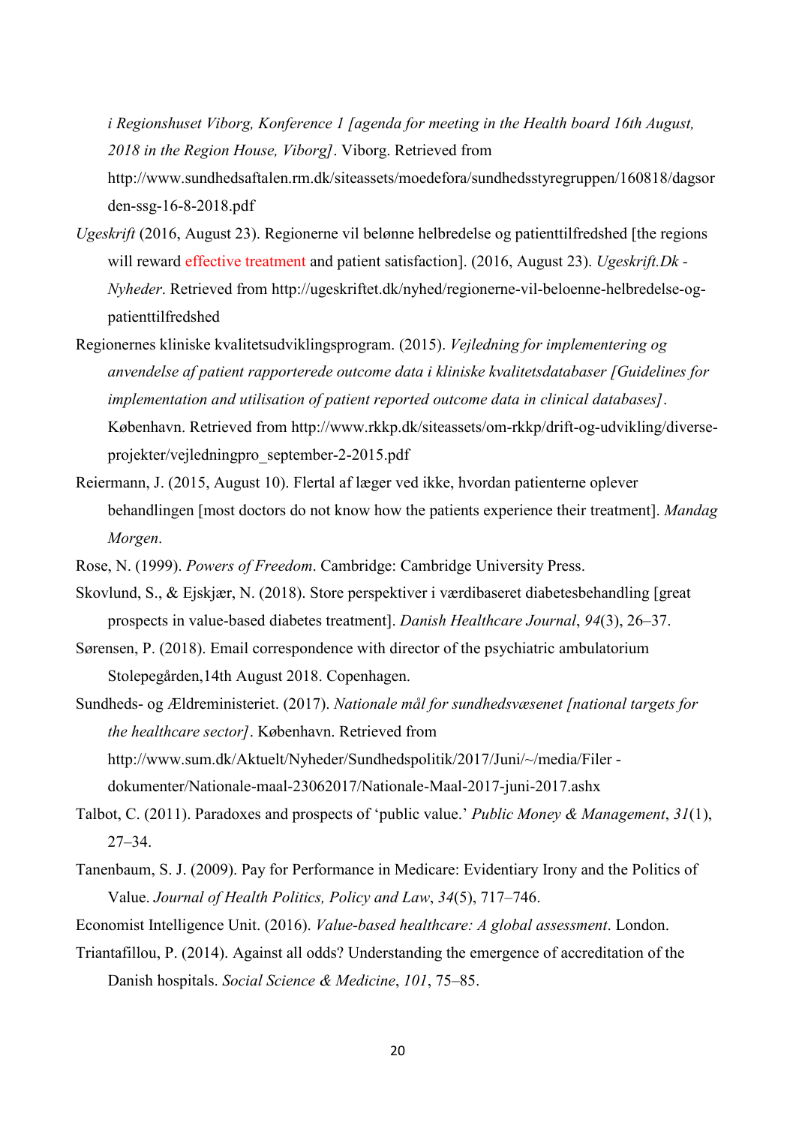*i Regionshuset Viborg, Konference 1 [agenda for meeting in the Health board 16th August, 2018 in the Region House, Viborg]*. Viborg. Retrieved from

http://www.sundhedsaftalen.rm.dk/siteassets/moedefora/sundhedsstyregruppen/160818/dagsor den-ssg-16-8-2018.pdf

- *Ugeskrift* (2016, August 23). Regionerne vil belønne helbredelse og patienttilfredshed [the regions will reward effective treatment and patient satisfaction]. (2016, August 23). *Ugeskrift.Dk - Nyheder*. Retrieved from http://ugeskriftet.dk/nyhed/regionerne-vil-beloenne-helbredelse-ogpatienttilfredshed
- Regionernes kliniske kvalitetsudviklingsprogram. (2015). *Vejledning for implementering og anvendelse af patient rapporterede outcome data i kliniske kvalitetsdatabaser [Guidelines for implementation and utilisation of patient reported outcome data in clinical databases]*. København. Retrieved from http://www.rkkp.dk/siteassets/om-rkkp/drift-og-udvikling/diverseprojekter/vejledningpro\_september-2-2015.pdf
- Reiermann, J. (2015, August 10). Flertal af læger ved ikke, hvordan patienterne oplever behandlingen [most doctors do not know how the patients experience their treatment]. *Mandag Morgen*.

Rose, N. (1999). *Powers of Freedom*. Cambridge: Cambridge University Press.

- Skovlund, S., & Ejskjær, N. (2018). Store perspektiver i værdibaseret diabetesbehandling [great prospects in value-based diabetes treatment]. *Danish Healthcare Journal*, *94*(3), 26–37.
- Sørensen, P. (2018). Email correspondence with director of the psychiatric ambulatorium Stolepegården,14th August 2018. Copenhagen.
- Sundheds- og Ældreministeriet. (2017). *Nationale mål for sundhedsvæsenet [national targets for the healthcare sector]*. København. Retrieved from http://www.sum.dk/Aktuelt/Nyheder/Sundhedspolitik/2017/Juni/~/media/Filer dokumenter/Nationale-maal-23062017/Nationale-Maal-2017-juni-2017.ashx
- Talbot, C. (2011). Paradoxes and prospects of 'public value.' *Public Money & Management*, *31*(1), 27–34.
- Tanenbaum, S. J. (2009). Pay for Performance in Medicare: Evidentiary Irony and the Politics of Value. *Journal of Health Politics, Policy and Law*, *34*(5), 717–746.
- Economist Intelligence Unit. (2016). *Value-based healthcare: A global assessment*. London.
- Triantafillou, P. (2014). Against all odds? Understanding the emergence of accreditation of the Danish hospitals. *Social Science & Medicine*, *101*, 75–85.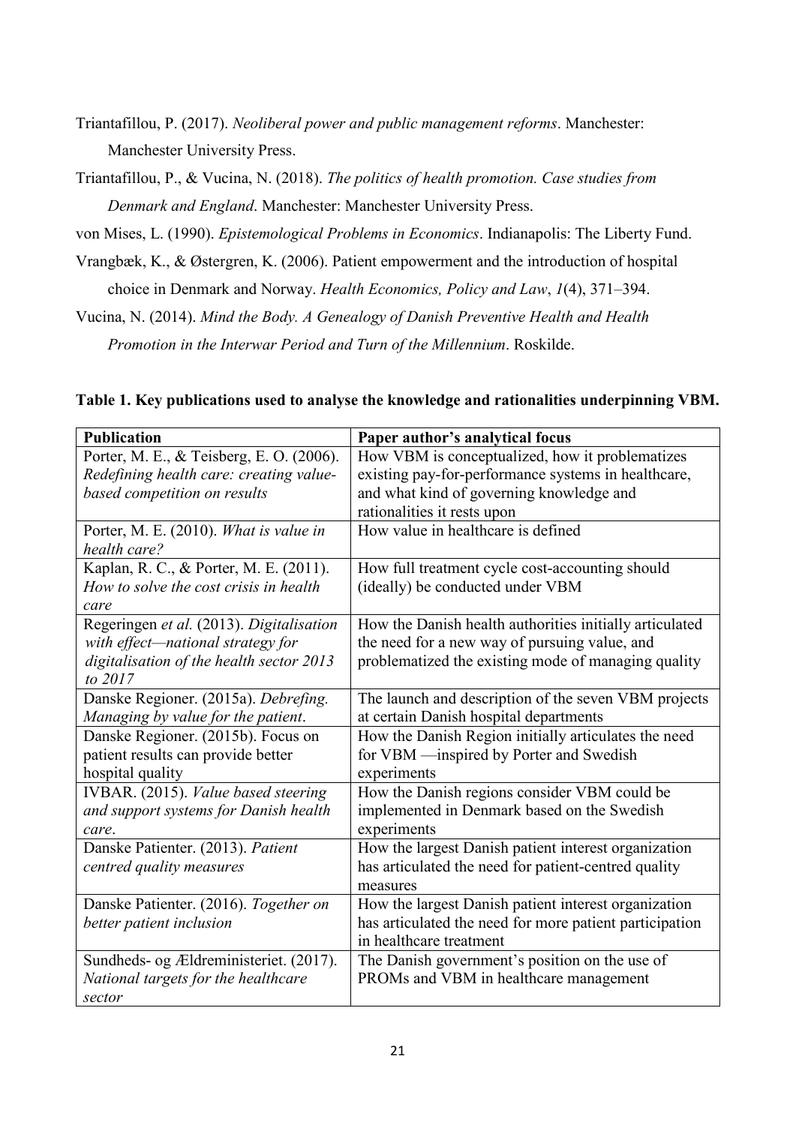Triantafillou, P. (2017). *Neoliberal power and public management reforms*. Manchester: Manchester University Press.

Triantafillou, P., & Vucina, N. (2018). *The politics of health promotion. Case studies from Denmark and England*. Manchester: Manchester University Press.

von Mises, L. (1990). *Epistemological Problems in Economics*. Indianapolis: The Liberty Fund.

Vrangbæk, K., & Østergren, K. (2006). Patient empowerment and the introduction of hospital choice in Denmark and Norway. *Health Economics, Policy and Law*, *1*(4), 371–394.

Vucina, N. (2014). *Mind the Body. A Genealogy of Danish Preventive Health and Health Promotion in the Interwar Period and Turn of the Millennium*. Roskilde.

**Table 1. Key publications used to analyse the knowledge and rationalities underpinning VBM.** 

| <b>Publication</b>                       | Paper author's analytical focus                         |
|------------------------------------------|---------------------------------------------------------|
| Porter, M. E., & Teisberg, E. O. (2006). | How VBM is conceptualized, how it problematizes         |
| Redefining health care: creating value-  | existing pay-for-performance systems in healthcare,     |
| based competition on results             | and what kind of governing knowledge and                |
|                                          | rationalities it rests upon                             |
| Porter, M. E. (2010). What is value in   | How value in healthcare is defined                      |
| health care?                             |                                                         |
| Kaplan, R. C., & Porter, M. E. (2011).   | How full treatment cycle cost-accounting should         |
| How to solve the cost crisis in health   | (ideally) be conducted under VBM                        |
| care                                     |                                                         |
| Regeringen et al. (2013). Digitalisation | How the Danish health authorities initially articulated |
| with effect-national strategy for        | the need for a new way of pursuing value, and           |
| digitalisation of the health sector 2013 | problematized the existing mode of managing quality     |
| to 2017                                  |                                                         |
| Danske Regioner. (2015a). Debrefing.     | The launch and description of the seven VBM projects    |
| Managing by value for the patient.       | at certain Danish hospital departments                  |
| Danske Regioner. (2015b). Focus on       | How the Danish Region initially articulates the need    |
| patient results can provide better       | for VBM —inspired by Porter and Swedish                 |
| hospital quality                         | experiments                                             |
| IVBAR. (2015). Value based steering      | How the Danish regions consider VBM could be            |
| and support systems for Danish health    | implemented in Denmark based on the Swedish             |
| care.                                    | experiments                                             |
| Danske Patienter. (2013). Patient        | How the largest Danish patient interest organization    |
| centred quality measures                 | has articulated the need for patient-centred quality    |
|                                          | measures                                                |
| Danske Patienter. (2016). Together on    | How the largest Danish patient interest organization    |
| better patient inclusion                 | has articulated the need for more patient participation |
|                                          | in healthcare treatment                                 |
| Sundheds- og Ældreministeriet. (2017).   | The Danish government's position on the use of          |
| National targets for the healthcare      | PROMs and VBM in healthcare management                  |
| sector                                   |                                                         |